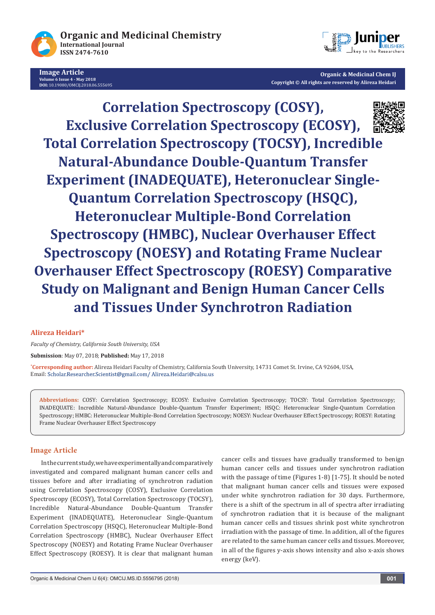

**Image Article Volume 6 Issue 4 - May 2018 DOI:** [10.19080/OMCIJ.2018.06.555695](http://dx.doi.org/10.19080/OMCIJ.2018.06.555695)



**Organic & Medicinal Chem IJ Copyright © All rights are reserved by Alireza Heidari** 

**Correlation Spectroscopy (COSY), Exclusive Correlation Spectroscopy (ECOSY), Total Correlation Spectroscopy (TOCSY), Incredible Natural-Abundance Double-Quantum Transfer Experiment (INADEQUATE), Heteronuclear Single-Quantum Correlation Spectroscopy (HSQC), Heteronuclear Multiple-Bond Correlation Spectroscopy (HMBC), Nuclear Overhauser Effect Spectroscopy (NOESY) and Rotating Frame Nuclear Overhauser Effect Spectroscopy (ROESY) Comparative Study on Malignant and Benign Human Cancer Cells and Tissues Under Synchrotron Radiation**

## **Alireza Heidari\***

*Faculty of Chemistry, California South University, USA*

**Submission**: May 07, 2018; **Published:** May 17, 2018

**\* Corresponding author:** Alireza Heidari Faculty of Chemistry, California South University, 14731 Comet St. Irvine, CA 92604, USA, Email: Scholar.Researcher.Scientist@gmail.com/ Alireza.Heidari@calsu.us

**Abbreviations:** COSY: Correlation Spectroscopy; ECOSY: Exclusive Correlation Spectroscopy; TOCSY: Total Correlation Spectroscopy; INADEQUATE: Incredible Natural-Abundance Double-Quantum Transfer Experiment; HSQC: Heteronuclear Single-Quantum Correlation Spectroscopy; HMBC: Heteronuclear Multiple-Bond Correlation Spectroscopy; NOESY: Nuclear Overhauser Effect Spectroscopy; ROESY: Rotating Frame Nuclear Overhauser Effect Spectroscopy

## **Image Article**

In the current study, we have experimentally and comparatively investigated and compared malignant human cancer cells and tissues before and after irradiating of synchrotron radiation using Correlation Spectroscopy (COSY), Exclusive Correlation Spectroscopy (ECOSY), Total Correlation Spectroscopy (TOCSY), Incredible Natural-Abundance Double-Quantum Transfer Experiment (INADEQUATE), Heteronuclear Single-Quantum Correlation Spectroscopy (HSQC), Heteronuclear Multiple-Bond Correlation Spectroscopy (HMBC), Nuclear Overhauser Effect Spectroscopy (NOESY) and Rotating Frame Nuclear Overhauser Effect Spectroscopy (ROESY). It is clear that malignant human cancer cells and tissues have gradually transformed to benign human cancer cells and tissues under synchrotron radiation with the passage of time (Figures 1-8) [1-75]. It should be noted that malignant human cancer cells and tissues were exposed under white synchrotron radiation for 30 days. Furthermore, there is a shift of the spectrum in all of spectra after irradiating of synchrotron radiation that it is because of the malignant human cancer cells and tissues shrink post white synchrotron irradiation with the passage of time. In addition, all of the figures are related to the same human cancer cells and tissues. Moreover, in all of the figures y-axis shows intensity and also x-axis shows energy (keV).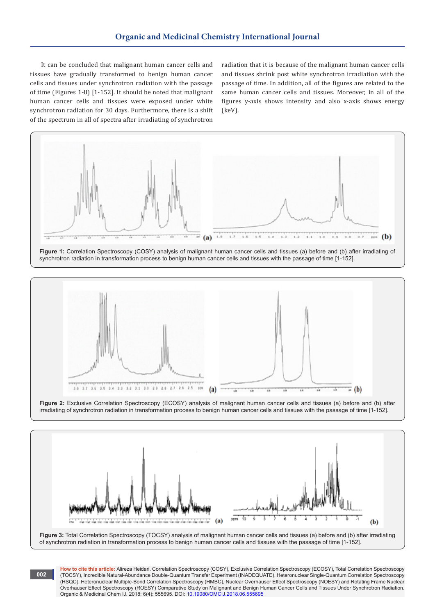It can be concluded that malignant human cancer cells and tissues have gradually transformed to benign human cancer cells and tissues under synchrotron radiation with the passage of time (Figures 1-8) [1-152]. It should be noted that malignant human cancer cells and tissues were exposed under white synchrotron radiation for 30 days. Furthermore, there is a shift of the spectrum in all of spectra after irradiating of synchrotron

**002**

radiation that it is because of the malignant human cancer cells and tissues shrink post white synchrotron irradiation with the passage of time. In addition, all of the figures are related to the same human cancer cells and tissues. Moreover, in all of the figures y-axis shows intensity and also x-axis shows energy (keV).









**Figure 3:** Total Correlation Spectroscopy (TOCSY) analysis of malignant human cancer cells and tissues (a) before and (b) after irradiating of synchrotron radiation in transformation process to benign human cancer cells and tissues with the passage of time [1-152].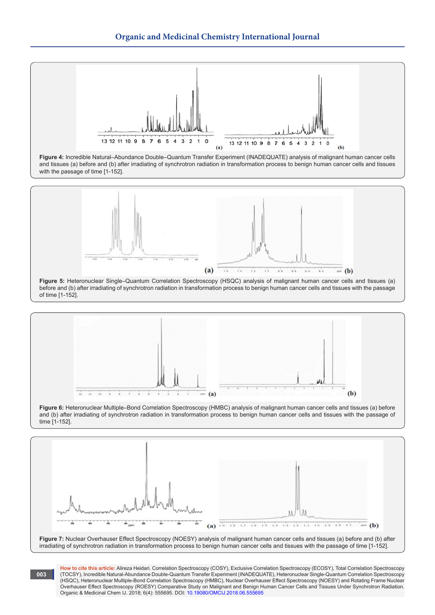







**Figure 7:** Nuclear Overhauser Effect Spectroscopy (NOESY) analysis of malignant human cancer cells and tissues (a) before and (b) after irradiating of synchrotron radiation in transformation process to benign human cancer cells and tissues with the passage of time [1-152].

**003**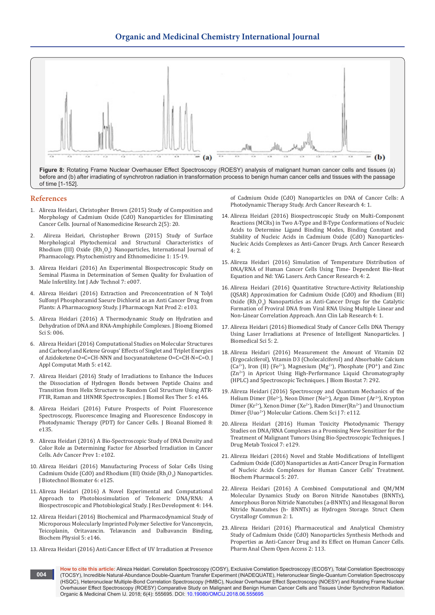

before and (b) after irradiating of synchrotron radiation in transformation process to benign human cancer cells and tissues with the passage of time [1-152].

## **References**

- 1. [Alireza Heidari, Christopher Brown \(2015\) Study of Composition and](https://medcraveonline.com/JNMR/JNMR-02-00042.pdf)  [Morphology of Cadmium Oxide \(CdO\) Nanoparticles for Eliminating](https://medcraveonline.com/JNMR/JNMR-02-00042.pdf)  [Cancer Cells. Journal of Nanomedicine Research 2\(5\): 20.](https://medcraveonline.com/JNMR/JNMR-02-00042.pdf)
- 2. [Alireza Heidari, Christopher Brown \(2015\) Study of Surface](https://www.scipress.com/IJPPE.1.15)  [Morphological Phytochemical and Structural Characteristics of](https://www.scipress.com/IJPPE.1.15)  Rhodium (III) Oxide  $(Rh_2O_3)$  Nanoparticles, International Journal of [Pharmacology. Phytochemistry and Ethnomedicine 1: 15-19.](https://www.scipress.com/IJPPE.1.15)
- 3. [Alireza Heidari \(2016\) An Experimental Biospectroscopic Study on](https://www.omicsonline.org/open-access/an-experimental-biospectroscopic-study-on-seminal-plasma-in-determination-of-semen-quality-for-evaluation-of-male-infertility-0976-4860-1000e007.php?aid=70477)  [Seminal Plasma in Determination of Semen Quality for Evaluation of](https://www.omicsonline.org/open-access/an-experimental-biospectroscopic-study-on-seminal-plasma-in-determination-of-semen-quality-for-evaluation-of-male-infertility-0976-4860-1000e007.php?aid=70477)  [Male Infertility. Int J Adv Technol 7: e007.](https://www.omicsonline.org/open-access/an-experimental-biospectroscopic-study-on-seminal-plasma-in-determination-of-semen-quality-for-evaluation-of-male-infertility-0976-4860-1000e007.php?aid=70477)
- 4. [Alireza Heidari \(2016\) Extraction and Preconcentration of N Tolyl](https://www.omicsonline.org/open-access/extraction-and-preconcentration-of-ntolylsulfonylphosphoramidsaeuredichlorid-as-an-anticancer-drug-from-plants-a-pharmacognosystud-jpnp-1000e103.php?aid=70582)  [Sulfonyl Phosphoramid Saeure Dichlorid as an Anti Cancer Drug from](https://www.omicsonline.org/open-access/extraction-and-preconcentration-of-ntolylsulfonylphosphoramidsaeuredichlorid-as-an-anticancer-drug-from-plants-a-pharmacognosystud-jpnp-1000e103.php?aid=70582)  [Plants: A Pharmacognosy Study. J Pharmacogn Nat Prod 2: e103.](https://www.omicsonline.org/open-access/extraction-and-preconcentration-of-ntolylsulfonylphosphoramidsaeuredichlorid-as-an-anticancer-drug-from-plants-a-pharmacognosystud-jpnp-1000e103.php?aid=70582)
- 5. [Alireza Heidari \(2016\) A Thermodynamic Study on Hydration and](https://www.omicsonline.org/open-access/a-thermodynamic-study-on-hydration-and-dehydration-of-dna-and-rnaamphiphile-complexes-2155-9538-1000S3-006.php?aid=70643)  [Dehydration of DNA and RNA-Amphiphile Complexes. J Bioeng Biomed](https://www.omicsonline.org/open-access/a-thermodynamic-study-on-hydration-and-dehydration-of-dna-and-rnaamphiphile-complexes-2155-9538-1000S3-006.php?aid=70643)  [Sci S: 006.](https://www.omicsonline.org/open-access/a-thermodynamic-study-on-hydration-and-dehydration-of-dna-and-rnaamphiphile-complexes-2155-9538-1000S3-006.php?aid=70643)
- 6. [Alireza Heidari \(2016\) Computational Studies on Molecular Structures](https://www.omicsonline.org/open-access/computational-studies-on-molecular-structures-and-carbonyl-and-ketenegroups-effects-of-singlet-and-triplet-energies-of-azidoketene-2168-9679-1000e142.php?aid=70355)  [and Carbonyl and Ketene Groups' Effects of Singlet and Triplet Energies](https://www.omicsonline.org/open-access/computational-studies-on-molecular-structures-and-carbonyl-and-ketenegroups-effects-of-singlet-and-triplet-energies-of-azidoketene-2168-9679-1000e142.php?aid=70355)  [of Azidoketene O=C=CH-NNN and Isocyanatoketene O=C=CH-N=C=O. J](https://www.omicsonline.org/open-access/computational-studies-on-molecular-structures-and-carbonyl-and-ketenegroups-effects-of-singlet-and-triplet-energies-of-azidoketene-2168-9679-1000e142.php?aid=70355)  [Appl Computat Math 5: e142.](https://www.omicsonline.org/open-access/computational-studies-on-molecular-structures-and-carbonyl-and-ketenegroups-effects-of-singlet-and-triplet-energies-of-azidoketene-2168-9679-1000e142.php?aid=70355)
- 7. [Alireza Heidari \(2016\) Study of Irradiations to Enhance the Induces](https://www.omicsonline.org/open-access/study-of-irradiations-to-enhance-the-induces-the-dissociation-ofhydrogen-bonds-between-peptide-chains-and-transition-from-helixstr-2167-7956-1000e146.php?aid=70649)  [the Dissociation of Hydrogen Bonds between Peptide Chains and](https://www.omicsonline.org/open-access/study-of-irradiations-to-enhance-the-induces-the-dissociation-ofhydrogen-bonds-between-peptide-chains-and-transition-from-helixstr-2167-7956-1000e146.php?aid=70649)  [Transition from Helix Structure to Random Coil Structure Using ATR-](https://www.omicsonline.org/open-access/study-of-irradiations-to-enhance-the-induces-the-dissociation-ofhydrogen-bonds-between-peptide-chains-and-transition-from-helixstr-2167-7956-1000e146.php?aid=70649)[FTIR, Raman and 1HNMR Spectroscopies. J Biomol Res Ther 5: e146.](https://www.omicsonline.org/open-access/study-of-irradiations-to-enhance-the-induces-the-dissociation-ofhydrogen-bonds-between-peptide-chains-and-transition-from-helixstr-2167-7956-1000e146.php?aid=70649)
- 8. [Alireza Heidari \(2016\) Future Prospects of Point Fluorescence](https://www.researchgate.net/publication/302915102_Future_Prospects_of_Point_Fluorescence_Spectroscopy_Fluorescence_Imaging_and_Fluorescence_Endoscopy_in_Photodynamic_Therapy_PDT_for_Cancer_Cells)  [Spectroscopy, Fluorescence Imaging and Fluorescence Endoscopy in](https://www.researchgate.net/publication/302915102_Future_Prospects_of_Point_Fluorescence_Spectroscopy_Fluorescence_Imaging_and_Fluorescence_Endoscopy_in_Photodynamic_Therapy_PDT_for_Cancer_Cells)  Photodynamic Therapy (PDT) for Cancer Cells. J Bioanal Biomed 8: [e135.](https://www.researchgate.net/publication/302915102_Future_Prospects_of_Point_Fluorescence_Spectroscopy_Fluorescence_Imaging_and_Fluorescence_Endoscopy_in_Photodynamic_Therapy_PDT_for_Cancer_Cells)
- 9. [Alireza Heidari \(2016\) A Bio-Spectroscopic Study of DNA Density and](https://www.omicsonline.org/open-access/a-biospectroscopic-study-of-dna-density-and-color-role-as-determining-factor-for-absorbed-irradiation-in-cancer-cells-acp-1000e102.php?aid=71045)  [Color Role as Determining Factor for Absorbed Irradiation in Cancer](https://www.omicsonline.org/open-access/a-biospectroscopic-study-of-dna-density-and-color-role-as-determining-factor-for-absorbed-irradiation-in-cancer-cells-acp-1000e102.php?aid=71045)  [Cells. Adv Cancer Prev 1: e102.](https://www.omicsonline.org/open-access/a-biospectroscopic-study-of-dna-density-and-color-role-as-determining-factor-for-absorbed-irradiation-in-cancer-cells-acp-1000e102.php?aid=71045)
- 10. [Alireza Heidari \(2016\) Manufacturing Process of Solar Cells Using](https://www.omicsonline.org/open-access/manufacturing-process-of-solar-cells-using-cadmium-oxide-cdo-and-rhodium-iii-oxide-rh2o3-nanoparticles-2155-952X-1000e125.php?aid=71790)  Cadmium Oxide (CdO) and Rhodium (III) Oxide (Rh<sub>2</sub>O<sub>3</sub>) Nanoparticles.<br>-[J Biotechnol Biomater 6: e125.](https://www.omicsonline.org/open-access/manufacturing-process-of-solar-cells-using-cadmium-oxide-cdo-and-rhodium-iii-oxide-rh2o3-nanoparticles-2155-952X-1000e125.php?aid=71790)
- 11. [Alireza Heidari \(2016\) A Novel Experimental and Computational](https://www.omicsonline.org/open-access/a-novel-experimental-and-computational-approach-to-photobiosimulation-of-telomeric-dnarna-a-biospectroscopic-and-photobiological-s-jrd-1000144.php?aid=71949)  [Approach to Photobiosimulation of Telomeric DNA/RNA: A](https://www.omicsonline.org/open-access/a-novel-experimental-and-computational-approach-to-photobiosimulation-of-telomeric-dnarna-a-biospectroscopic-and-photobiological-s-jrd-1000144.php?aid=71949)  [Biospectroscopic and Photobiological Study. J Res Development 4: 144.](https://www.omicsonline.org/open-access/a-novel-experimental-and-computational-approach-to-photobiosimulation-of-telomeric-dnarna-a-biospectroscopic-and-photobiological-s-jrd-1000144.php?aid=71949)
- 12. [Alireza Heidari \(2016\) Biochemical and Pharmacodynamical Study of](https://www.omicsonline.org/open-access/biochemical-and-pharmacodynamical-study-of-microporous-molecularlyimprinted-polymer-selective-for-vancomycin-teicoplanin-oritavanc-2168-9652-1000e146.php?aid=70970)  [Microporous Molecularly Imprinted Polymer Selective for Vancomycin,](https://www.omicsonline.org/open-access/biochemical-and-pharmacodynamical-study-of-microporous-molecularlyimprinted-polymer-selective-for-vancomycin-teicoplanin-oritavanc-2168-9652-1000e146.php?aid=70970)  [Teicoplanin, Oritavancin. Telavancin and Dalbavancin Binding,](https://www.omicsonline.org/open-access/biochemical-and-pharmacodynamical-study-of-microporous-molecularlyimprinted-polymer-selective-for-vancomycin-teicoplanin-oritavanc-2168-9652-1000e146.php?aid=70970)  [Biochem Physiol 5: e146.](https://www.omicsonline.org/open-access/biochemical-and-pharmacodynamical-study-of-microporous-molecularlyimprinted-polymer-selective-for-vancomycin-teicoplanin-oritavanc-2168-9652-1000e146.php?aid=70970)
- 13. [Alireza Heidari \(2016\) Anti Cancer Effect of UV Irradiation at Presence](http://www.acanceresearch.com/cancer-research/anticancer-effect-of-uv-irradiation-at-presence-of-cadmium-oxide-cdo-nanoparticles-on-dna-of-cancer-cells-a-photodynamic-therapy-s.php?aid=8876)

[of Cadmium Oxide \(CdO\) Nanoparticles on DNA of Cancer Cells: A](http://www.acanceresearch.com/cancer-research/anticancer-effect-of-uv-irradiation-at-presence-of-cadmium-oxide-cdo-nanoparticles-on-dna-of-cancer-cells-a-photodynamic-therapy-s.php?aid=8876)  [Photodynamic Therapy Study. Arch Cancer Research 4: 1.](http://www.acanceresearch.com/cancer-research/anticancer-effect-of-uv-irradiation-at-presence-of-cadmium-oxide-cdo-nanoparticles-on-dna-of-cancer-cells-a-photodynamic-therapy-s.php?aid=8876)

- 14. [Alireza Heidari \(2016\) Biospectroscopic Study on Multi-Component](http://www.acanceresearch.com/cancer-research/biospectroscopic-study-on-multicomponent-reactions-mcrs-in-two-atype-and-btype-conformations-of-nucleic-acids-to-determine-ligand.php?aid=9093)  [Reactions \(MCRs\) in Two A-Type and B-Type Conformations of Nucleic](http://www.acanceresearch.com/cancer-research/biospectroscopic-study-on-multicomponent-reactions-mcrs-in-two-atype-and-btype-conformations-of-nucleic-acids-to-determine-ligand.php?aid=9093)  [Acids to Determine Ligand Binding Modes, Binding Constant and](http://www.acanceresearch.com/cancer-research/biospectroscopic-study-on-multicomponent-reactions-mcrs-in-two-atype-and-btype-conformations-of-nucleic-acids-to-determine-ligand.php?aid=9093)  [Stability of Nucleic Acids in Cadmium Oxide \(CdO\) Nanoparticles-](http://www.acanceresearch.com/cancer-research/biospectroscopic-study-on-multicomponent-reactions-mcrs-in-two-atype-and-btype-conformations-of-nucleic-acids-to-determine-ligand.php?aid=9093)[Nucleic Acids Complexes as Anti-Cancer Drugs. Arch Cancer Research](http://www.acanceresearch.com/cancer-research/biospectroscopic-study-on-multicomponent-reactions-mcrs-in-two-atype-and-btype-conformations-of-nucleic-acids-to-determine-ligand.php?aid=9093)  [4: 2.](http://www.acanceresearch.com/cancer-research/biospectroscopic-study-on-multicomponent-reactions-mcrs-in-two-atype-and-btype-conformations-of-nucleic-acids-to-determine-ligand.php?aid=9093)
- 15. [Alireza Heidari \(2016\) Simulation of Temperature Distribution of](http://www.acanceresearch.com/cancer-research/simulation-of-temperature-distribution-of-dnarna-of-human-cancer-cells-using-timedependent-bioheat-equation-andnd-yag-lasers.php?aid=9116)  [DNA/RNA of Human Cancer Cells Using Time- Dependent Bio-Heat](http://www.acanceresearch.com/cancer-research/simulation-of-temperature-distribution-of-dnarna-of-human-cancer-cells-using-timedependent-bioheat-equation-andnd-yag-lasers.php?aid=9116)  [Equation and Nd: YAG Lasers. Arch Cancer Research 4: 2.](http://www.acanceresearch.com/cancer-research/simulation-of-temperature-distribution-of-dnarna-of-human-cancer-cells-using-timedependent-bioheat-equation-andnd-yag-lasers.php?aid=9116)
- 16. [Alireza Heidari \(2016\) Quantitative Structure-Activity Relationship](http://www.aclr.com.es/clinical-research/quantitative-structureactivity-relationship-qsar-approximation-for-cadmium-oxide-cdo-and-rhodium-iii-oxide-rh2o3-nanoparticles-as.php?aid=8882)  [\(QSAR\) Approximation for Cadmium Oxide \(CdO\) and Rhodium \(III\)](http://www.aclr.com.es/clinical-research/quantitative-structureactivity-relationship-qsar-approximation-for-cadmium-oxide-cdo-and-rhodium-iii-oxide-rh2o3-nanoparticles-as.php?aid=8882)  Oxide  $\left(Rh_2O_3\right)$  Nanoparticles as Anti-Cancer Drugs for the Catalytic [Formation of Proviral DNA from Viral RNA Using Multiple Linear and](http://www.aclr.com.es/clinical-research/quantitative-structureactivity-relationship-qsar-approximation-for-cadmium-oxide-cdo-and-rhodium-iii-oxide-rh2o3-nanoparticles-as.php?aid=8882)  [Non-Linear Correlation Approach. Ann Clin Lab Research 4: 1.](http://www.aclr.com.es/clinical-research/quantitative-structureactivity-relationship-qsar-approximation-for-cadmium-oxide-cdo-and-rhodium-iii-oxide-rh2o3-nanoparticles-as.php?aid=8882)
- 17. [Alireza Heidari \(2016\) Biomedical Study of Cancer Cells DNA Therapy](http://www.jbiomeds.com/biomedical-sciences/biomedical-study-of-cancer-cells-dna-therapy-using-laser-irradiations-at-presence-of-intelligent-nanoparticles.php?aid=9049)  [Using Laser Irradiations at Presence of Intelligent Nanoparticles. J](http://www.jbiomeds.com/biomedical-sciences/biomedical-study-of-cancer-cells-dna-therapy-using-laser-irradiations-at-presence-of-intelligent-nanoparticles.php?aid=9049)  [Biomedical Sci 5: 2.](http://www.jbiomeds.com/biomedical-sciences/biomedical-study-of-cancer-cells-dna-therapy-using-laser-irradiations-at-presence-of-intelligent-nanoparticles.php?aid=9049)
- 18. [Alireza Heidari \(2016\) Measurement the Amount of Vitamin D2](https://www.omicsonline.org/open-access/measurement-the-amount-of-vitamin-d2-ergocalciferol-vitamin-d3cholecalciferol-and-absorbable-calcium-ca2-iron-ii-fe2magnesium-mg2-2155-6180-1000292.php?aid=72126)  [\(Ergocalciferol\), Vitamin D3 \(Cholecalciferol\) and Absorbable Calcium](https://www.omicsonline.org/open-access/measurement-the-amount-of-vitamin-d2-ergocalciferol-vitamin-d3cholecalciferol-and-absorbable-calcium-ca2-iron-ii-fe2magnesium-mg2-2155-6180-1000292.php?aid=72126)  (Ca<sup>2+</sup>), Iron (II) (Fe<sup>2+</sup>), Magnesium (Mg<sup>2+</sup>), Phosphate (PO<sup>4-</sup>) and Zinc  $(Zn^{2+})$  in Apricot Using High-Performance Liquid Chromatography [\(HPLC\) and Spectroscopic Techniques. J Biom Biostat 7: 292.](https://www.omicsonline.org/open-access/measurement-the-amount-of-vitamin-d2-ergocalciferol-vitamin-d3cholecalciferol-and-absorbable-calcium-ca2-iron-ii-fe2magnesium-mg2-2155-6180-1000292.php?aid=72126)
- 19. Alireza Heidari (2016) Spectroscopy and Quantum Mechanics of the Helium Dimer (He<sup>2+</sup>), Neon Dimer (Ne<sup>2+</sup>), Argon Dimer (Ar<sup>2+</sup>), Krypton Dimer (Kr<sup>2+</sup>), Xenon Dimer (Xe<sup>2+</sup>), Radon Dimer(Rn<sup>2+</sup>) and Ununoctium Dimer (Uuo<sup>2+</sup>) Molecular Cations. Chem Sci J 7: e112.
- 20. [Alireza Heidari \(2016\) Human Toxicity Photodynamic Therapy](https://www.omicsonline.org/open-access/human-toxicity-photodynamic-therapy-studies-on-dnarna-complexesas-a-promising-new-sensitizer-for-the-treatment-of-malignant-tumors-2157-7609-1000e129.php?aid=73041)  [Studies on DNA/RNA Complexes as a Promising New Sensitizer for the](https://www.omicsonline.org/open-access/human-toxicity-photodynamic-therapy-studies-on-dnarna-complexesas-a-promising-new-sensitizer-for-the-treatment-of-malignant-tumors-2157-7609-1000e129.php?aid=73041)  [Treatment of Malignant Tumors Using Bio-Spectroscopic Techniques. J](https://www.omicsonline.org/open-access/human-toxicity-photodynamic-therapy-studies-on-dnarna-complexesas-a-promising-new-sensitizer-for-the-treatment-of-malignant-tumors-2157-7609-1000e129.php?aid=73041)  [Drug Metab Toxicol 7: e129.](https://www.omicsonline.org/open-access/human-toxicity-photodynamic-therapy-studies-on-dnarna-complexesas-a-promising-new-sensitizer-for-the-treatment-of-malignant-tumors-2157-7609-1000e129.php?aid=73041)
- 21. [Alireza Heidari \(2016\) Novel and Stable Modifications of Intelligent](https://www.omicsonline.org/open-access/novel-and-stable-modifications-of-intelligent-cadmium-oxide-cdonanoparticles-as-anticancer-drug-in-formation-of-nucleic-acidscompl-2167-0501-1000207.php?aid=73082)  [Cadmium Oxide \(CdO\) Nanoparticles as Anti-Cancer Drug in Formation](https://www.omicsonline.org/open-access/novel-and-stable-modifications-of-intelligent-cadmium-oxide-cdonanoparticles-as-anticancer-drug-in-formation-of-nucleic-acidscompl-2167-0501-1000207.php?aid=73082)  [of Nucleic Acids Complexes for Human Cancer Cells' Treatment.](https://www.omicsonline.org/open-access/novel-and-stable-modifications-of-intelligent-cadmium-oxide-cdonanoparticles-as-anticancer-drug-in-formation-of-nucleic-acidscompl-2167-0501-1000207.php?aid=73082)  [Biochem Pharmacol 5: 207.](https://www.omicsonline.org/open-access/novel-and-stable-modifications-of-intelligent-cadmium-oxide-cdonanoparticles-as-anticancer-drug-in-formation-of-nucleic-acidscompl-2167-0501-1000207.php?aid=73082)
- 22. [Alireza Heidari \(2016\) A Combined Computational and QM/MM](http://structural-crystallography.imedpub.com/a-combined-computational-and-qmmmmolecular-dynamics-study-on-boron-nitridenanotubes-bnnts-amorphous-boronnitride-nanotubes-abnnts.php?aid=9371)  [Molecular Dynamics Study on Boron Nitride Nanotubes \(BNNTs\),](http://structural-crystallography.imedpub.com/a-combined-computational-and-qmmmmolecular-dynamics-study-on-boron-nitridenanotubes-bnnts-amorphous-boronnitride-nanotubes-abnnts.php?aid=9371)  [Amorphous Boron Nitride Nanotubes \(a-BNNTs\) and Hexagonal Boron](http://structural-crystallography.imedpub.com/a-combined-computational-and-qmmmmolecular-dynamics-study-on-boron-nitridenanotubes-bnnts-amorphous-boronnitride-nanotubes-abnnts.php?aid=9371)  [Nitride Nanotubes \(h- BNNTs\) as Hydrogen Storage. Struct Chem](http://structural-crystallography.imedpub.com/a-combined-computational-and-qmmmmolecular-dynamics-study-on-boron-nitridenanotubes-bnnts-amorphous-boronnitride-nanotubes-abnnts.php?aid=9371)  [Crystallogr Commun 2: 1.](http://structural-crystallography.imedpub.com/a-combined-computational-and-qmmmmolecular-dynamics-study-on-boron-nitridenanotubes-bnnts-amorphous-boronnitride-nanotubes-abnnts.php?aid=9371)
- 23. [Alireza Heidari \(2016\) Pharmaceutical and Analytical Chemistry](https://www.omicsonline.org/open-access/pharmaceutical-and-analytical-chemistry-study-of-cadmium-oxide-cdonanoparticles-synthesis-methods-and-properties-as-anticancer-dru-2471-2698-1000113.php?aid=73658)  [Study of Cadmium Oxide \(CdO\) Nanoparticles Synthesis Methods and](https://www.omicsonline.org/open-access/pharmaceutical-and-analytical-chemistry-study-of-cadmium-oxide-cdonanoparticles-synthesis-methods-and-properties-as-anticancer-dru-2471-2698-1000113.php?aid=73658)  [Properties as Anti-Cancer Drug and its Effect on Human Cancer Cells.](https://www.omicsonline.org/open-access/pharmaceutical-and-analytical-chemistry-study-of-cadmium-oxide-cdonanoparticles-synthesis-methods-and-properties-as-anticancer-dru-2471-2698-1000113.php?aid=73658)  [Pharm Anal Chem Open Access 2: 113.](https://www.omicsonline.org/open-access/pharmaceutical-and-analytical-chemistry-study-of-cadmium-oxide-cdonanoparticles-synthesis-methods-and-properties-as-anticancer-dru-2471-2698-1000113.php?aid=73658)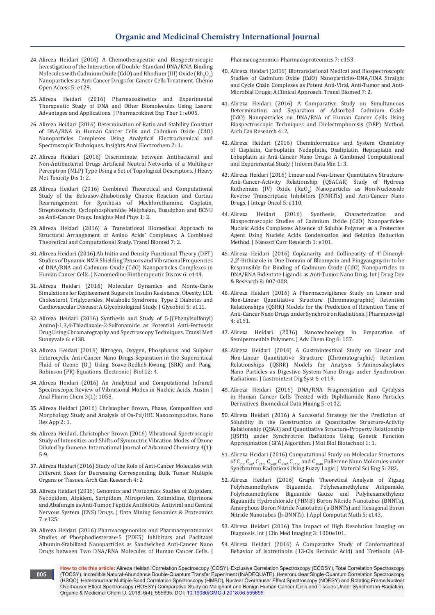- 24. [Alireza Heidari \(2016\) A Chemotherapeutic and Biospectroscopic](https://www.omicsonline.org/open-access/a-chemotherapeutic-and-biospectroscopic-investigation-of-the-interaction-of-doublestandard-dnarnabinding-molecules-with-cadmium-ox-2167-7700-1000e129.php?aid=73647)  [Investigation of the Interaction of Double- Standard DNA/RNA-Binding](https://www.omicsonline.org/open-access/a-chemotherapeutic-and-biospectroscopic-investigation-of-the-interaction-of-doublestandard-dnarnabinding-molecules-with-cadmium-ox-2167-7700-1000e129.php?aid=73647)  Molecules with Cadmium Oxide (CdO) and Rhodium (III) Oxide  $\rm (Rh_2O_3)$ [Nanoparticles as Anti Cancer Drugs for Cancer Cells Treatment. Chemo](https://www.omicsonline.org/open-access/a-chemotherapeutic-and-biospectroscopic-investigation-of-the-interaction-of-doublestandard-dnarnabinding-molecules-with-cadmium-ox-2167-7700-1000e129.php?aid=73647)  [Open Access 5: e129.](https://www.omicsonline.org/open-access/a-chemotherapeutic-and-biospectroscopic-investigation-of-the-interaction-of-doublestandard-dnarnabinding-molecules-with-cadmium-ox-2167-7700-1000e129.php?aid=73647)
- 25. [Alireza Heidari \(2016\) Pharmacokinetics and Experimental](https://www.omicsonline.org/open-access/pharmacokinetics-and-experimental-therapeutic-study-of-dna-and-otherbiomolecules-using-lasers-advantages-and-applications-jpet-1000e005.php?aid=73561)  [Therapeutic Study of DNA and Other Biomolecules Using Lasers:](https://www.omicsonline.org/open-access/pharmacokinetics-and-experimental-therapeutic-study-of-dna-and-otherbiomolecules-using-lasers-advantages-and-applications-jpet-1000e005.php?aid=73561)  [Advantages and Applications. J Pharmacokinet Exp Ther 1: e005.](https://www.omicsonline.org/open-access/pharmacokinetics-and-experimental-therapeutic-study-of-dna-and-otherbiomolecules-using-lasers-advantages-and-applications-jpet-1000e005.php?aid=73561)
- 26. [Alireza Heidari \(2016\) Determination of Ratio and Stability Constant](http://electroanalytical.imedpub.com/determination-of-ratio-and-stability-constant-of-dnarna-in-human-cancer-cells-and-cadmium-oxide-cdo-nanoparticles-complexes-using.php?aid=9416)  [of DNA/RNA in Human Cancer Cells and Cadmium Oxide \(CdO\)](http://electroanalytical.imedpub.com/determination-of-ratio-and-stability-constant-of-dnarna-in-human-cancer-cells-and-cadmium-oxide-cdo-nanoparticles-complexes-using.php?aid=9416)  [Nanoparticles Complexes Using Analytical Electrochemical and](http://electroanalytical.imedpub.com/determination-of-ratio-and-stability-constant-of-dnarna-in-human-cancer-cells-and-cadmium-oxide-cdo-nanoparticles-complexes-using.php?aid=9416)  [Spectroscopic Techniques. Insights Anal Electrochem 2: 1.](http://electroanalytical.imedpub.com/determination-of-ratio-and-stability-constant-of-dnarna-in-human-cancer-cells-and-cadmium-oxide-cdo-nanoparticles-complexes-using.php?aid=9416)
- 27. [Alireza Heidari \(2016\) Discriminate between Antibacterial and](https://www.researchgate.net/publication/308000574_Discriminate_between_Antibacterial_and_Non-Antibacterial_Drugs_Artificial_Neutral_Networks_of_a_Multilayer_Perceptron_MLP_Type_Using_a_Set_of_Topological_Descriptors)  [Non-Antibacterial Drugs Artificial Neutral Networks of a Multilayer](https://www.researchgate.net/publication/308000574_Discriminate_between_Antibacterial_and_Non-Antibacterial_Drugs_Artificial_Neutral_Networks_of_a_Multilayer_Perceptron_MLP_Type_Using_a_Set_of_Topological_Descriptors)  [Perceptron \(MLP\) Type Using a Set of Topological Descriptors. J Heavy](https://www.researchgate.net/publication/308000574_Discriminate_between_Antibacterial_and_Non-Antibacterial_Drugs_Artificial_Neutral_Networks_of_a_Multilayer_Perceptron_MLP_Type_Using_a_Set_of_Topological_Descriptors)  [Met Toxicity Dis 1: 2.](https://www.researchgate.net/publication/308000574_Discriminate_between_Antibacterial_and_Non-Antibacterial_Drugs_Artificial_Neutral_Networks_of_a_Multilayer_Perceptron_MLP_Type_Using_a_Set_of_Topological_Descriptors)
- 28. [Alireza Heidari \(2016\) Combined Theoretical and Computational](http://medicalphysics.imedpub.com/combined-theoretical-and-computationalstudy-of-the-belousovzhabotinsky-chaoticreaction-and-curtius-rearrangement-forsynthesis-of-m.php?aid=9632)  [Study of the Belousov-Zhabotinsky Chaotic Reaction and Curtius](http://medicalphysics.imedpub.com/combined-theoretical-and-computationalstudy-of-the-belousovzhabotinsky-chaoticreaction-and-curtius-rearrangement-forsynthesis-of-m.php?aid=9632)  [Rearrangement for Synthesis of Mechlorethamine, Cisplatin,](http://medicalphysics.imedpub.com/combined-theoretical-and-computationalstudy-of-the-belousovzhabotinsky-chaoticreaction-and-curtius-rearrangement-forsynthesis-of-m.php?aid=9632)  [Streptozotocin, Cyclophosphamide, Melphalan, Busulphan and BCNU](http://medicalphysics.imedpub.com/combined-theoretical-and-computationalstudy-of-the-belousovzhabotinsky-chaoticreaction-and-curtius-rearrangement-forsynthesis-of-m.php?aid=9632)  [as Anti-Cancer Drugs. Insights Med Phys 1: 2.](http://medicalphysics.imedpub.com/combined-theoretical-and-computationalstudy-of-the-belousovzhabotinsky-chaoticreaction-and-curtius-rearrangement-forsynthesis-of-m.php?aid=9632)
- 29. [Alireza Heidari \(2016\) A Translational Biomedical Approach to](http://www.transbiomedicine.com/translational-biomedicine/a-translational-biomedical-approach-to-structural-arrangement-of-amino-acids-complexes-a-combined-theoretical-and-computational-st.php?aid=9653)  [Structural Arrangement of Amino Acids' Complexes: A Combined](http://www.transbiomedicine.com/translational-biomedicine/a-translational-biomedical-approach-to-structural-arrangement-of-amino-acids-complexes-a-combined-theoretical-and-computational-st.php?aid=9653)  [Theoretical and Computational Study. Transl Biomed 7: 2.](http://www.transbiomedicine.com/translational-biomedicine/a-translational-biomedical-approach-to-structural-arrangement-of-amino-acids-complexes-a-combined-theoretical-and-computational-st.php?aid=9653)
- 30. [Alireza Heidari \(2016\) Ab Initio and Density Functional Theory \(DFT\)](https://www.omicsonline.org/open-access/ab-initio-and-density-functional-theory-dft-studies-of-dynamic-nmrshielding-tensors-and-vibrational-frequencies-of-dnarna-andcadmi-2155-983X-1000e144.php?aid=74217)  [Studies of Dynamic NMR Shielding Tensors and Vibrational Frequencies](https://www.omicsonline.org/open-access/ab-initio-and-density-functional-theory-dft-studies-of-dynamic-nmrshielding-tensors-and-vibrational-frequencies-of-dnarna-andcadmi-2155-983X-1000e144.php?aid=74217)  [of DNA/RNA and Cadmium Oxide \(CdO\) Nanoparticles Complexes in](https://www.omicsonline.org/open-access/ab-initio-and-density-functional-theory-dft-studies-of-dynamic-nmrshielding-tensors-and-vibrational-frequencies-of-dnarna-andcadmi-2155-983X-1000e144.php?aid=74217)  [Human Cancer Cells. J Nanomedine Biotherapeutic Discov 6: e144.](https://www.omicsonline.org/open-access/ab-initio-and-density-functional-theory-dft-studies-of-dynamic-nmrshielding-tensors-and-vibrational-frequencies-of-dnarna-andcadmi-2155-983X-1000e144.php?aid=74217)
- 31. [Alireza Heidari \(2016\) Molecular Dynamics and Monte-Carlo](https://www.omicsonline.org/open-access/molecular-dynamics-and-montecarlo-simulations-for-replacement-sugars-ininsulin-resistance-obesity-ldl-cholesterol-triglycerides-me-2168-958X-1000e111.php?aid=74707)  [Simulations for Replacement Sugars in Insulin Resistance, Obesity, LDL](https://www.omicsonline.org/open-access/molecular-dynamics-and-montecarlo-simulations-for-replacement-sugars-ininsulin-resistance-obesity-ldl-cholesterol-triglycerides-me-2168-958X-1000e111.php?aid=74707)  [Cholesterol, Triglycerides, Metabolic Syndrome, Type 2 Diabetes and](https://www.omicsonline.org/open-access/molecular-dynamics-and-montecarlo-simulations-for-replacement-sugars-ininsulin-resistance-obesity-ldl-cholesterol-triglycerides-me-2168-958X-1000e111.php?aid=74707)  [Cardiovascular Disease: A Glycobiological Study. J Glycobiol 5: e111.](https://www.omicsonline.org/open-access/molecular-dynamics-and-montecarlo-simulations-for-replacement-sugars-ininsulin-resistance-obesity-ldl-cholesterol-triglycerides-me-2168-958X-1000e111.php?aid=74707)
- 32. [Alireza Heidari \(2016\) Synthesis and Study of 5-\[\(Phenylsulfonyl\)](https://www.omicsonline.org/open-access/synthesis-and-study-of-5phenylsulfonylamino134thiadiazole2sulfonamide-as-potential-antipertussis-drug-using-chromatography-and-spe-2161-1025-1000e137.php?aid=75143) [Amino\]-1,3,4-Thiadiazole-2-Sulfonamide as Potential Anti-Pertussis](https://www.omicsonline.org/open-access/synthesis-and-study-of-5phenylsulfonylamino134thiadiazole2sulfonamide-as-potential-antipertussis-drug-using-chromatography-and-spe-2161-1025-1000e137.php?aid=75143)  [Drug Using Chromatography and Spectroscopy Techniques. Transl Med](https://www.omicsonline.org/open-access/synthesis-and-study-of-5phenylsulfonylamino134thiadiazole2sulfonamide-as-potential-antipertussis-drug-using-chromatography-and-spe-2161-1025-1000e137.php?aid=75143)  [Sunnyvale 6: e138.](https://www.omicsonline.org/open-access/synthesis-and-study-of-5phenylsulfonylamino134thiadiazole2sulfonamide-as-potential-antipertussis-drug-using-chromatography-and-spe-2161-1025-1000e137.php?aid=75143)
- 33. [Alireza Heidari \(2016\) Nitrogen, Oxygen, Phosphorus and Sulphur](http://ejbio.imedpub.com/nitrogen-oxygen-phosphorus-and-sulphur-heterocyclicanti-cancer-nano-drugs-separation-in-the-supercritical-fluidof-ozone-o3-using-s.php?aid=9768)  [Heterocyclic Anti-Cancer Nano Drugs Separation in the Supercritical](http://ejbio.imedpub.com/nitrogen-oxygen-phosphorus-and-sulphur-heterocyclicanti-cancer-nano-drugs-separation-in-the-supercritical-fluidof-ozone-o3-using-s.php?aid=9768)  Fluid of Ozone  $(0<sub>3</sub>)$  Using Soave-Redlich-Kwong (SRK) and Pang-[Robinson \(PR\) Equations. Electronic J Biol 12: 4.](http://ejbio.imedpub.com/nitrogen-oxygen-phosphorus-and-sulphur-heterocyclicanti-cancer-nano-drugs-separation-in-the-supercritical-fluidof-ozone-o3-using-s.php?aid=9768)
- 34. Alireza Heidari (2016) An Analytical and Computational Infrared Spectroscopic Review of Vibrational Modes in Nucleic Acids. Austin J Anal Pharm Chem 3(1): 1058.
- 35. [Alireza Heidari \(2016\) Christopher Brown, Phase, Composition and](http://nanotechnology.imedpub.com/phase-composition-and-morphology-study-and-analysis-of-ospdhfc-nanocomposites.php?aid=9059)  [Morphology Study and Analysis of Os-Pd/HfC Nanocomposites. Nano](http://nanotechnology.imedpub.com/phase-composition-and-morphology-study-and-analysis-of-ospdhfc-nanocomposites.php?aid=9059)  [Res App 2: 1.](http://nanotechnology.imedpub.com/phase-composition-and-morphology-study-and-analysis-of-ospdhfc-nanocomposites.php?aid=9059)
- 36. [Alireza Heidari, Christopher Brown \(2016\) Vibrational Spectroscopic](https://www.sciencepubco.com/index.php/IJAC/article/view/6080)  [Study of Intensities and Shifts of Symmetric Vibration Modes of Ozone](https://www.sciencepubco.com/index.php/IJAC/article/view/6080)  [Diluted by Cumene. International Journal of Advanced Chemistry 4\(1\):](https://www.sciencepubco.com/index.php/IJAC/article/view/6080)  [5-9.](https://www.sciencepubco.com/index.php/IJAC/article/view/6080)
- 37. [Alireza Heidari \(2016\) Study of the Role of Anti-Cancer Molecules with](http://www.acanceresearch.com/cancer-research/study-of-the-role-of-anticancer-molecules-with-different-sizes-for-decreasing-corresponding-bulk-tumor-multiple-organs-or-tissues.php?aid=9809)  [Different Sizes for Decreasing Corresponding Bulk Tumor Multiple](http://www.acanceresearch.com/cancer-research/study-of-the-role-of-anticancer-molecules-with-different-sizes-for-decreasing-corresponding-bulk-tumor-multiple-organs-or-tissues.php?aid=9809)  [Organs or Tissues. Arch Can Research 4: 2.](http://www.acanceresearch.com/cancer-research/study-of-the-role-of-anticancer-molecules-with-different-sizes-for-decreasing-corresponding-bulk-tumor-multiple-organs-or-tissues.php?aid=9809)
- 38. [Alireza Heidari \(2016\) Genomics and Proteomics Studies of Zolpidem,](https://www.omicsonline.org/open-access/genomics-and-proteomics-studies-of-zolpidem-necopidem-alpidem-saripidem-miroprofen-zolimidine-olprinone-and-abafungin-as-antitumor-2153-0602-1000e125.php?aid=75982)  [Necopidem, Alpidem, Saripidem, Miroprofen, Zolimidine, Olprinone](https://www.omicsonline.org/open-access/genomics-and-proteomics-studies-of-zolpidem-necopidem-alpidem-saripidem-miroprofen-zolimidine-olprinone-and-abafungin-as-antitumor-2153-0602-1000e125.php?aid=75982)  [and Abafungin as Anti-Tumor, Peptide Antibiotics, Antiviral and Central](https://www.omicsonline.org/open-access/genomics-and-proteomics-studies-of-zolpidem-necopidem-alpidem-saripidem-miroprofen-zolimidine-olprinone-and-abafungin-as-antitumor-2153-0602-1000e125.php?aid=75982)  [Nervous System \(CNS\) Drugs. J Data Mining Genomics & Proteomics](https://www.omicsonline.org/open-access/genomics-and-proteomics-studies-of-zolpidem-necopidem-alpidem-saripidem-miroprofen-zolimidine-olprinone-and-abafungin-as-antitumor-2153-0602-1000e125.php?aid=75982)  [7: e125.](https://www.omicsonline.org/open-access/genomics-and-proteomics-studies-of-zolpidem-necopidem-alpidem-saripidem-miroprofen-zolimidine-olprinone-and-abafungin-as-antitumor-2153-0602-1000e125.php?aid=75982)
- 39. [Alireza Heidari \(2016\) Pharmacogenomics and Pharmacoproteomics](https://www.semanticscholar.org/paper/Pharmacogenomics-and-Pharmacoproteomics-Studies-of-Heidari/30c0b0dbc699f1aaffc30685eba84698c21f5269)  [Studies of Phosphodiesterase-5 \(PDE5\) Inhibitors and Paclitaxel](https://www.semanticscholar.org/paper/Pharmacogenomics-and-Pharmacoproteomics-Studies-of-Heidari/30c0b0dbc699f1aaffc30685eba84698c21f5269)  [Albumin-Stabilized Nanoparticles as Sandwiched Anti-Cancer Nano](https://www.semanticscholar.org/paper/Pharmacogenomics-and-Pharmacoproteomics-Studies-of-Heidari/30c0b0dbc699f1aaffc30685eba84698c21f5269)  [Drugs between Two DNA/RNA Molecules of Human Cancer Cells. J](https://www.semanticscholar.org/paper/Pharmacogenomics-and-Pharmacoproteomics-Studies-of-Heidari/30c0b0dbc699f1aaffc30685eba84698c21f5269)

[Pharmacogenomics Pharmacoproteomics 7: e153.](https://www.semanticscholar.org/paper/Pharmacogenomics-and-Pharmacoproteomics-Studies-of-Heidari/30c0b0dbc699f1aaffc30685eba84698c21f5269)

- 40. [Alireza Heidari \(2016\) Biotranslational Medical and Biospectroscopic](http://www.transbiomedicine.com/translational-biomedicine/biotranslational-medical-and-biospectroscopic-studies-of-cadmium-oxidecdo-nanoparticlesdnarna-straight-and-cycle-chain-complexes-a.php?aid=9835)  [Studies of Cadmium Oxide \(CdO\) Nanoparticles-DNA/RNA Straight](http://www.transbiomedicine.com/translational-biomedicine/biotranslational-medical-and-biospectroscopic-studies-of-cadmium-oxidecdo-nanoparticlesdnarna-straight-and-cycle-chain-complexes-a.php?aid=9835)  [and Cycle Chain Complexes as Potent Anti-Viral, Anti-Tumor and Anti-](http://www.transbiomedicine.com/translational-biomedicine/biotranslational-medical-and-biospectroscopic-studies-of-cadmium-oxidecdo-nanoparticlesdnarna-straight-and-cycle-chain-complexes-a.php?aid=9835)[Microbial Drugs: A Clinical Approach. Transl Biomed 7: 2.](http://www.transbiomedicine.com/translational-biomedicine/biotranslational-medical-and-biospectroscopic-studies-of-cadmium-oxidecdo-nanoparticlesdnarna-straight-and-cycle-chain-complexes-a.php?aid=9835)
- 41. [Alireza Heidari \(2016\) A Comparative Study on Simultaneous](http://www.acanceresearch.com/cancer-research/a-comparative-study-on-simultaneous-determination-and-separation-of-adsorbed-cadmium-oxide-cdo-nanoparticles-on-dnarna-of-human-ca.php?aid=9862)  [Determination and Separation of Adsorbed Cadmium Oxide](http://www.acanceresearch.com/cancer-research/a-comparative-study-on-simultaneous-determination-and-separation-of-adsorbed-cadmium-oxide-cdo-nanoparticles-on-dnarna-of-human-ca.php?aid=9862)  [\(CdO\) Nanoparticles on DNA/RNA of Human Cancer Cells Using](http://www.acanceresearch.com/cancer-research/a-comparative-study-on-simultaneous-determination-and-separation-of-adsorbed-cadmium-oxide-cdo-nanoparticles-on-dnarna-of-human-ca.php?aid=9862)  [Biospectroscopic Techniques and Dielectrophoresis \(DEP\) Method.](http://www.acanceresearch.com/cancer-research/a-comparative-study-on-simultaneous-determination-and-separation-of-adsorbed-cadmium-oxide-cdo-nanoparticles-on-dnarna-of-human-ca.php?aid=9862)  [Arch Can Research 4: 2.](http://www.acanceresearch.com/cancer-research/a-comparative-study-on-simultaneous-determination-and-separation-of-adsorbed-cadmium-oxide-cdo-nanoparticles-on-dnarna-of-human-ca.php?aid=9862)
- 42. [Alireza Heidari \(2016\) Cheminformatics and System Chemistry](http://datamining.imedpub.com/cheminformatics-and-system-chemistry-of-cisplatin-carboplatin-nedaplatinoxaliplatin-heptaplatin-and-lobaplatin-as-anticancer-nano.php?aid=9880)  [of Cisplatin, Carboplatin, Nedaplatin, Oxaliplatin, Heptaplatin and](http://datamining.imedpub.com/cheminformatics-and-system-chemistry-of-cisplatin-carboplatin-nedaplatinoxaliplatin-heptaplatin-and-lobaplatin-as-anticancer-nano.php?aid=9880)  [Lobaplatin as Anti-Cancer Nano Drugs: A Combined Computational](http://datamining.imedpub.com/cheminformatics-and-system-chemistry-of-cisplatin-carboplatin-nedaplatinoxaliplatin-heptaplatin-and-lobaplatin-as-anticancer-nano.php?aid=9880)  [and Experimental Study. J Inform Data Min 1: 3.](http://datamining.imedpub.com/cheminformatics-and-system-chemistry-of-cisplatin-carboplatin-nedaplatinoxaliplatin-heptaplatin-and-lobaplatin-as-anticancer-nano.php?aid=9880)
- 43. [Alireza Heidari \(2016\) Linear and Non-Linear Quantitative Structure-](https://www.omicsonline.org/open-access/linear-and-nonlinear-quantitative-structureanticanceractivityrelationship-qsacar-study-of-hydrous-ruthenium-iv-oxide-ruo2nanoparti-2329-6771-1000e110.php?aid=76867)[Anti-Cancer-Activity Relationship \(QSACAR\) Study of Hydrous](https://www.omicsonline.org/open-access/linear-and-nonlinear-quantitative-structureanticanceractivityrelationship-qsacar-study-of-hydrous-ruthenium-iv-oxide-ruo2nanoparti-2329-6771-1000e110.php?aid=76867)  Ruthenium (IV) Oxide  $(RuO_2)$  Nanoparticles as Non-Nucleoside [Reverse Transcriptase Inhibitors \(NNRTIs\) and Anti-Cancer Nano](https://www.omicsonline.org/open-access/linear-and-nonlinear-quantitative-structureanticanceractivityrelationship-qsacar-study-of-hydrous-ruthenium-iv-oxide-ruo2nanoparti-2329-6771-1000e110.php?aid=76867)  [Drugs. J Integr Oncol 5: e110.](https://www.omicsonline.org/open-access/linear-and-nonlinear-quantitative-structureanticanceractivityrelationship-qsacar-study-of-hydrous-ruthenium-iv-oxide-ruo2nanoparti-2329-6771-1000e110.php?aid=76867)
- 44. [Alireza Heidari \(2016\) Synthesis, Characterization and](https://www.omicsonline.org/open-access/synthesis-characterization-and-biospectroscopic-studies-of-cadmium-oxide-cdo-nanoparticles-nucleic-acids-complexes-absence-of-solu-JNCR-1000103.php?aid=76885)  [Biospectroscopic Studies of Cadmium Oxide \(CdO\) Nanoparticles-](https://www.omicsonline.org/open-access/synthesis-characterization-and-biospectroscopic-studies-of-cadmium-oxide-cdo-nanoparticles-nucleic-acids-complexes-absence-of-solu-JNCR-1000103.php?aid=76885)[Nucleic Acids Complexes Absence of Soluble Polymer as a Protective](https://www.omicsonline.org/open-access/synthesis-characterization-and-biospectroscopic-studies-of-cadmium-oxide-cdo-nanoparticles-nucleic-acids-complexes-absence-of-solu-JNCR-1000103.php?aid=76885)  [Agent Using Nucleic Acids Condensation and Solution Reduction](https://www.omicsonline.org/open-access/synthesis-characterization-and-biospectroscopic-studies-of-cadmium-oxide-cdo-nanoparticles-nucleic-acids-complexes-absence-of-solu-JNCR-1000103.php?aid=76885)  [Method. J Nanosci Curr Research 1: e101.](https://www.omicsonline.org/open-access/synthesis-characterization-and-biospectroscopic-studies-of-cadmium-oxide-cdo-nanoparticles-nucleic-acids-complexes-absence-of-solu-JNCR-1000103.php?aid=76885)
- 45. [Alireza Heidari \(2016\) Coplanarity and Collinearity of 4'-Dinonyl-](http://www.ijddr.in/drug-development/coplanarity-and-collinearity-of-4dinonyl22bithiazole-in-one-domain-of-bleomycin-and-pingyangmycin-to-be-responsible-for-bindingof.php?aid=9938)[2,2'-Bithiazole in One Domain of Bleomycin and Pingyangmycin to be](http://www.ijddr.in/drug-development/coplanarity-and-collinearity-of-4dinonyl22bithiazole-in-one-domain-of-bleomycin-and-pingyangmycin-to-be-responsible-for-bindingof.php?aid=9938)  [Responsible for Binding of Cadmium Oxide \(CdO\) Nanoparticles to](http://www.ijddr.in/drug-development/coplanarity-and-collinearity-of-4dinonyl22bithiazole-in-one-domain-of-bleomycin-and-pingyangmycin-to-be-responsible-for-bindingof.php?aid=9938)  [DNA/RNA Bidentate Ligands as Anti-Tumor Nano Drug. Int J Drug Dev](http://www.ijddr.in/drug-development/coplanarity-and-collinearity-of-4dinonyl22bithiazole-in-one-domain-of-bleomycin-and-pingyangmycin-to-be-responsible-for-bindingof.php?aid=9938)  [& Research 8: 007-008.](http://www.ijddr.in/drug-development/coplanarity-and-collinearity-of-4dinonyl22bithiazole-in-one-domain-of-bleomycin-and-pingyangmycin-to-be-responsible-for-bindingof.php?aid=9938)
- 46. [Alireza Heidari \(2016\) A Pharmacovigilance Study on Linear and](https://www.omicsonline.org/open-access/a-pharmacovigilance-study-on-linear-and-nonlinear-quantitativestructure-chromatographic-retention-relationships-qsrr-models-forthe-2329-6887-1000e161.php?aid=78376)  [Non-Linear Quantitative Structure \(Chromatographic\) Retention](https://www.omicsonline.org/open-access/a-pharmacovigilance-study-on-linear-and-nonlinear-quantitativestructure-chromatographic-retention-relationships-qsrr-models-forthe-2329-6887-1000e161.php?aid=78376)  [Relationships \(QSRR\) Models for the Prediction of Retention Time of](https://www.omicsonline.org/open-access/a-pharmacovigilance-study-on-linear-and-nonlinear-quantitativestructure-chromatographic-retention-relationships-qsrr-models-forthe-2329-6887-1000e161.php?aid=78376)  [Anti-Cancer Nano Drugs under Synchrotron Radiations. J Pharmacovigil](https://www.omicsonline.org/open-access/a-pharmacovigilance-study-on-linear-and-nonlinear-quantitativestructure-chromatographic-retention-relationships-qsrr-models-forthe-2329-6887-1000e161.php?aid=78376)  [4: e161.](https://www.omicsonline.org/open-access/a-pharmacovigilance-study-on-linear-and-nonlinear-quantitativestructure-chromatographic-retention-relationships-qsrr-models-forthe-2329-6887-1000e161.php?aid=78376)
- 47. [Alireza Heidari \(2016\) Nanotechnology in Preparation of](https://www.omicsonline.org/open-access/nanotechnology-in-preparation-of-semipermeable-polymers-2090-4568-1000157.php?aid=78336)  [Semipermeable Polymers. J Adv Chem Eng 6: 157.](https://www.omicsonline.org/open-access/nanotechnology-in-preparation-of-semipermeable-polymers-2090-4568-1000157.php?aid=78336)
- 48. [Alireza Heidari \(2016\) A Gastrointestinal Study on Linear and](https://www.omicsonline.org/open-access/a-gastrointestinal-study-on-linear-and-nonlinear-quantitative-structurechromatographic-retention-relationships-qsrr-models-for-ana-2161-069X-1000e119.php?aid=79075)  [Non-Linear Quantitative Structure \(Chromatographic\) Retention](https://www.omicsonline.org/open-access/a-gastrointestinal-study-on-linear-and-nonlinear-quantitative-structurechromatographic-retention-relationships-qsrr-models-for-ana-2161-069X-1000e119.php?aid=79075)  [Relationships \(QSRR\) Models for Analysis 5-Aminosalicylates](https://www.omicsonline.org/open-access/a-gastrointestinal-study-on-linear-and-nonlinear-quantitative-structurechromatographic-retention-relationships-qsrr-models-for-ana-2161-069X-1000e119.php?aid=79075)  [Nano Particles as Digestive System Nano Drugs under Synchrotron](https://www.omicsonline.org/open-access/a-gastrointestinal-study-on-linear-and-nonlinear-quantitative-structurechromatographic-retention-relationships-qsrr-models-for-ana-2161-069X-1000e119.php?aid=79075)  [Radiations. J Gastrointest Dig Syst 6: e119.](https://www.omicsonline.org/open-access/a-gastrointestinal-study-on-linear-and-nonlinear-quantitative-structurechromatographic-retention-relationships-qsrr-models-for-ana-2161-069X-1000e119.php?aid=79075)
- 49. [Alireza Heidari \(2016\) DNA/RNA Fragmentation and Cytolysis](https://www.omicsonline.org/open-access/dnarna-fragmentation-and-cytolysis-in-human-cancer-cells-treatedwith-diphthamide-nano-particles-derivatives-2090-4924-1000e102.php?aid=79143)  [in Human Cancer Cells Treated with Diphthamide Nano Particles](https://www.omicsonline.org/open-access/dnarna-fragmentation-and-cytolysis-in-human-cancer-cells-treatedwith-diphthamide-nano-particles-derivatives-2090-4924-1000e102.php?aid=79143)  [Derivatives. Biomedical Data Mining 5: e102.](https://www.omicsonline.org/open-access/dnarna-fragmentation-and-cytolysis-in-human-cancer-cells-treatedwith-diphthamide-nano-particles-derivatives-2090-4924-1000e102.php?aid=79143)
- 50. [Alireza Heidari \(2016\) A Successful Strategy for the Prediction of](http://www.imedpub.com/articles/a-successful-strategy-for-the-prediction-of-solubility-in-the-construction-of-quantitative-structureactivity-relationship-qsar-and.php?aid=17247)  [Solubility in the Construction of Quantitative Structure-Activity](http://www.imedpub.com/articles/a-successful-strategy-for-the-prediction-of-solubility-in-the-construction-of-quantitative-structureactivity-relationship-qsar-and.php?aid=17247)  [Relationship \(QSAR\) and Quantitative Structure-Property Relationship](http://www.imedpub.com/articles/a-successful-strategy-for-the-prediction-of-solubility-in-the-construction-of-quantitative-structureactivity-relationship-qsar-and.php?aid=17247)  [\(QSPR\) under Synchrotron Radiations Using Genetic Function](http://www.imedpub.com/articles/a-successful-strategy-for-the-prediction-of-solubility-in-the-construction-of-quantitative-structureactivity-relationship-qsar-and.php?aid=17247)  [Approximation \(GFA\) Algorithm. J Mol Biol Biotechnol 1: 1.](http://www.imedpub.com/articles/a-successful-strategy-for-the-prediction-of-solubility-in-the-construction-of-quantitative-structureactivity-relationship-qsar-and.php?aid=17247)
- 51. [Alireza Heidari \(2016\) Computational Study on Molecular Structures](https://www.omicsonline.org/open-access/computational-study-on-molecular-structures-of-c20-c60-c240-c540c960-c2160-and-c3840-fullerene-nano-molecules-under-synchrotron-ra-2169-0022-1000282.php?aid=80465)  of  $C_{20}$ ,  $C_{60}$ ,  $C_{240}$ ,  $C_{540}$ ,  $C_{960}$ ,  $C_{2160}$  and  $C_{3840}$  Fullerene Nano Molecules under [Synchrotron Radiations Using Fuzzy Logic. J Material Sci Eng 5: 282.](https://www.omicsonline.org/open-access/computational-study-on-molecular-structures-of-c20-c60-c240-c540c960-c2160-and-c3840-fullerene-nano-molecules-under-synchrotron-ra-2169-0022-1000282.php?aid=80465)
- 52. [Alireza Heidari \(2016\) Graph Theoretical Analysis of Zigzag](https://www.omicsonline.org/open-access/graph-theoretical-analysis-of-zigzag-polyhexamethylene-biguanide-polyhexamethylene-adipamide-polyhexamethylene-biguanide-gauze-and-2168-9679-1000e143.php?aid=80804)  Polyhexamethylene Adipamide, [Polyhexamethylene Biguanide Gauze and Polyhexamethylene](https://www.omicsonline.org/open-access/graph-theoretical-analysis-of-zigzag-polyhexamethylene-biguanide-polyhexamethylene-adipamide-polyhexamethylene-biguanide-gauze-and-2168-9679-1000e143.php?aid=80804)  [Biguanide Hydrochloride \(PHMB\) Boron Nitride Nanotubes \(BNNTs\),](https://www.omicsonline.org/open-access/graph-theoretical-analysis-of-zigzag-polyhexamethylene-biguanide-polyhexamethylene-adipamide-polyhexamethylene-biguanide-gauze-and-2168-9679-1000e143.php?aid=80804)  [Amorphous Boron Nitride Nanotubes \(a-BNNTs\) and Hexagonal Boron](https://www.omicsonline.org/open-access/graph-theoretical-analysis-of-zigzag-polyhexamethylene-biguanide-polyhexamethylene-adipamide-polyhexamethylene-biguanide-gauze-and-2168-9679-1000e143.php?aid=80804)  [Nitride Nanotubes \(h-BNNTs\). J Appl Computat Math 5: e143.](https://www.omicsonline.org/open-access/graph-theoretical-analysis-of-zigzag-polyhexamethylene-biguanide-polyhexamethylene-adipamide-polyhexamethylene-biguanide-gauze-and-2168-9679-1000e143.php?aid=80804)
- 53. Alireza Heidari (2016) The Impact of High Resolution Imaging on Diagnosis. Int J Clin Med Imaging 3: 1000e101.
- 54. [Alireza Heidari \(2016\) A Comparative Study of Conformational](http://biomedicine.imedpub.com/a-comparative-study-of-conformational-behavior-of-isotretinoin-13cis-retinoic-acid-and-tretinoin-alltrans-retinoic-acid-atra-nano.php?aid=17333)  [Behavior of Isotretinoin \(13-Cis Retinoic Acid\) and Tretinoin \(All-](http://biomedicine.imedpub.com/a-comparative-study-of-conformational-behavior-of-isotretinoin-13cis-retinoic-acid-and-tretinoin-alltrans-retinoic-acid-atra-nano.php?aid=17333)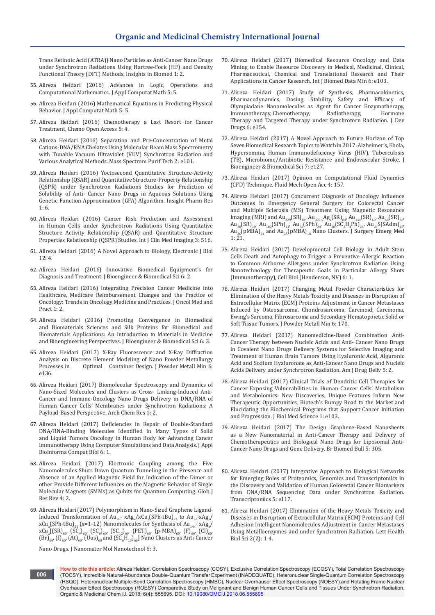[Trans Retinoic Acid \(ATRA\)\) Nano Particles as Anti-Cancer Nano Drugs](http://biomedicine.imedpub.com/a-comparative-study-of-conformational-behavior-of-isotretinoin-13cis-retinoic-acid-and-tretinoin-alltrans-retinoic-acid-atra-nano.php?aid=17333)  [under Synchrotron Radiations Using Hartree-Fock \(HF\) and Density](http://biomedicine.imedpub.com/a-comparative-study-of-conformational-behavior-of-isotretinoin-13cis-retinoic-acid-and-tretinoin-alltrans-retinoic-acid-atra-nano.php?aid=17333)  [Functional Theory \(DFT\) Methods. Insights in Biomed 1: 2.](http://biomedicine.imedpub.com/a-comparative-study-of-conformational-behavior-of-isotretinoin-13cis-retinoic-acid-and-tretinoin-alltrans-retinoic-acid-atra-nano.php?aid=17333)

- 55. [Alireza Heidari \(2016\) Advances in Logic, Operations and](https://www.omicsonline.org/open-access/advances-in-logic-operations-and-computational-mathematics-2168-9679-1000e144.php?aid=81158)  [Computational Mathematics. J Appl Computat Math 5: 5.](https://www.omicsonline.org/open-access/advances-in-logic-operations-and-computational-mathematics-2168-9679-1000e144.php?aid=81158)
- 56. [Alireza Heidari \(2016\) Mathematical Equations in Predicting Physical](https://www.omicsonline.org/open-access/mathematical-equations-in-predicting-physical-behavior-2168-9679-1000e145.php?aid=81159)  [Behavior. J Appl Computat Math 5: 5.](https://www.omicsonline.org/open-access/mathematical-equations-in-predicting-physical-behavior-2168-9679-1000e145.php?aid=81159)
- 57. [Alireza Heidari \(2016\) Chemotherapy a Last Resort for Cancer](https://www.omicsonline.org/open-access/chemotherapy-a-last-resort-for-cancer-treatment-2167-7700-1000e130.php?aid=81319)  [Treatment, Chemo Open Access 5: 4.](https://www.omicsonline.org/open-access/chemotherapy-a-last-resort-for-cancer-treatment-2167-7700-1000e130.php?aid=81319)
- 58. Alireza Heidari (2016) Separation and Pre-Concentration of Metal Cations-DNA/RNA Chelates Using Molecular Beam Mass Spectrometry with Tunable Vacuum Ultraviolet (VUV) Synchrotron Radiation and Various Analytical Methods. Mass Spectrom Purif Tech 2: e101.
- 59. [Alireza Heidari \(2016\) Yoctosecond Quantitative Structure-Activity](http://www.imedpub.com/articles/yoctosecond-quantitative-structure-activity-relationship-qsar-and-quantitative-structure-property-relationship-qspr-under-synchrot.php?aid=17372)  [Relationship \(QSAR\) and Quantitative Structure-Property Relationship](http://www.imedpub.com/articles/yoctosecond-quantitative-structure-activity-relationship-qsar-and-quantitative-structure-property-relationship-qspr-under-synchrot.php?aid=17372)  [\(QSPR\) under Synchrotron Radiations Studies for Prediction of](http://www.imedpub.com/articles/yoctosecond-quantitative-structure-activity-relationship-qsar-and-quantitative-structure-property-relationship-qspr-under-synchrot.php?aid=17372)  [Solubility of Anti- Cancer Nano Drugs in Aqueous Solutions Using](http://www.imedpub.com/articles/yoctosecond-quantitative-structure-activity-relationship-qsar-and-quantitative-structure-property-relationship-qspr-under-synchrot.php?aid=17372)  [Genetic Function Approximation \(GFA\) Algorithm. Insight Pharm Res](http://www.imedpub.com/articles/yoctosecond-quantitative-structure-activity-relationship-qsar-and-quantitative-structure-property-relationship-qspr-under-synchrot.php?aid=17372)  [1: 6.](http://www.imedpub.com/articles/yoctosecond-quantitative-structure-activity-relationship-qsar-and-quantitative-structure-property-relationship-qspr-under-synchrot.php?aid=17372)
- 60. Alireza Heidari (2016) Cancer Risk Prediction and Assessment in Human Cells under Synchrotron Radiations Using Quantitative Structure Activity Relationship (QSAR) and Quantitative Structure Properties Relationship (QSPR) Studies. Int J Clin Med Imaging 3: 516.
- 61. [Alireza Heidari \(2016\) A Novel Approach to Biology, Electronic J Biol](http://ejbio.imedpub.com/a-novel-approach-to-biology.php?aid=17535)  [12: 4.](http://ejbio.imedpub.com/a-novel-approach-to-biology.php?aid=17535)
- 62. [Alireza Heidari \(2016\) Innovative Biomedical Equipment's for](https://www.omicsonline.org/open-access/innovative-biomedical-equipment-for-diagnosis-and-treatment-2155-9538-1000e125.ph.php?aid=87337)  [Diagnosis and Treatment. J Bioengineer & Biomedical Sci 6: 2.](https://www.omicsonline.org/open-access/innovative-biomedical-equipment-for-diagnosis-and-treatment-2155-9538-1000e125.ph.php?aid=87337)
- 63. [Alireza Heidari \(2016\) Integrating Precision Cancer Medicine into](https://www.omicsonline.org/open-access/integrating-precision-cancer-medicine-into-healthcare-medicarereimbursement-changes-and-the-practice-of-oncology-trends-in-oncolog.php?aid=86766)  [Healthcare, Medicare Reimbursement Changes and the Practice of](https://www.omicsonline.org/open-access/integrating-precision-cancer-medicine-into-healthcare-medicarereimbursement-changes-and-the-practice-of-oncology-trends-in-oncolog.php?aid=86766)  [Oncology: Trends in Oncology Medicine and Practices. J Oncol Med and](https://www.omicsonline.org/open-access/integrating-precision-cancer-medicine-into-healthcare-medicarereimbursement-changes-and-the-practice-of-oncology-trends-in-oncolog.php?aid=86766)  [Pract 1: 2.](https://www.omicsonline.org/open-access/integrating-precision-cancer-medicine-into-healthcare-medicarereimbursement-changes-and-the-practice-of-oncology-trends-in-oncolog.php?aid=86766)
- 64. Alireza Heidari (2016) Promoting Convergence in Biomedical and Biomaterials Sciences and Silk Proteins for Biomedical and Biomaterials Applications: An Introduction to Materials in Medicine and Bioengineering Perspectives. J Bioengineer & Biomedical Sci 6: 3.
- 65. [Alireza Heidari \(2017\) X-Ray Fluorescence and X-Ray Diffraction](https://www.omicsonline.org/open-access/xray-fluorescence-and-xray-diffraction-analysis-on-discrete-elementmodeling-of-nano-powder-metallurgy-processes-in-optimal-contain-2168-9806-1000e136.php?aid=88976)  [Analysis on Discrete Element Modeling of Nano Powder Metallurgy](https://www.omicsonline.org/open-access/xray-fluorescence-and-xray-diffraction-analysis-on-discrete-elementmodeling-of-nano-powder-metallurgy-processes-in-optimal-contain-2168-9806-1000e136.php?aid=88976)  Optimal Container Design. J Powder Metall Min 6: [e136.](https://www.omicsonline.org/open-access/xray-fluorescence-and-xray-diffraction-analysis-on-discrete-elementmodeling-of-nano-powder-metallurgy-processes-in-optimal-contain-2168-9806-1000e136.php?aid=88976)
- 66. [Alireza Heidari \(2017\) Biomolecular Spectroscopy and Dynamics of](https://www.researchgate.net/publication/318034414_Biomolecular_Spectroscopy_and_Dynamics_of_Nano-Sized_Molecules_and_Clusters_as_Cross-Linking-Induced_Anti-Cancer_and_Immune-Oncology_Nano_Drugs_Delivery_in_DNARNA_of_Human_Cancer_Cells%27_Membranes_unde)  [Nano-Sized Molecules and Clusters as Cross- Linking-Induced Anti-](https://www.researchgate.net/publication/318034414_Biomolecular_Spectroscopy_and_Dynamics_of_Nano-Sized_Molecules_and_Clusters_as_Cross-Linking-Induced_Anti-Cancer_and_Immune-Oncology_Nano_Drugs_Delivery_in_DNARNA_of_Human_Cancer_Cells%27_Membranes_unde)[Cancer and Immune-Oncology Nano Drugs Delivery in DNA/RNA of](https://www.researchgate.net/publication/318034414_Biomolecular_Spectroscopy_and_Dynamics_of_Nano-Sized_Molecules_and_Clusters_as_Cross-Linking-Induced_Anti-Cancer_and_Immune-Oncology_Nano_Drugs_Delivery_in_DNARNA_of_Human_Cancer_Cells%27_Membranes_unde)  [Human Cancer Cells' Membranes under Synchrotron Radiations: A](https://www.researchgate.net/publication/318034414_Biomolecular_Spectroscopy_and_Dynamics_of_Nano-Sized_Molecules_and_Clusters_as_Cross-Linking-Induced_Anti-Cancer_and_Immune-Oncology_Nano_Drugs_Delivery_in_DNARNA_of_Human_Cancer_Cells%27_Membranes_unde)  [Payload-Based Perspective. Arch Chem Res 1: 2.](https://www.researchgate.net/publication/318034414_Biomolecular_Spectroscopy_and_Dynamics_of_Nano-Sized_Molecules_and_Clusters_as_Cross-Linking-Induced_Anti-Cancer_and_Immune-Oncology_Nano_Drugs_Delivery_in_DNARNA_of_Human_Cancer_Cells%27_Membranes_unde)
- 67. [Alireza Heidari \(2017\) Deficiencies in Repair of Double-Standard](https://www.scitechnol.com/peer-review/deficiencies-in-repair-of-doublestandard-dnarnabinding-molecules-identified-in-many-types-of-solid-and-liquid-tumors-oncology-in-h-QL3Y.php?article_id=6103)  [DNA/RNA-Binding Molecules Identified in Many Types of Solid](https://www.scitechnol.com/peer-review/deficiencies-in-repair-of-doublestandard-dnarnabinding-molecules-identified-in-many-types-of-solid-and-liquid-tumors-oncology-in-h-QL3Y.php?article_id=6103)  [and Liquid Tumors Oncology in Human Body for Advancing Cancer](https://www.scitechnol.com/peer-review/deficiencies-in-repair-of-doublestandard-dnarnabinding-molecules-identified-in-many-types-of-solid-and-liquid-tumors-oncology-in-h-QL3Y.php?article_id=6103)  [Immunotherapy Using Computer Simulations and Data Analysis. J Appl](https://www.scitechnol.com/peer-review/deficiencies-in-repair-of-doublestandard-dnarnabinding-molecules-identified-in-many-types-of-solid-and-liquid-tumors-oncology-in-h-QL3Y.php?article_id=6103)  [Bioinforma Comput Biol 6: 1.](https://www.scitechnol.com/peer-review/deficiencies-in-repair-of-doublestandard-dnarnabinding-molecules-identified-in-many-types-of-solid-and-liquid-tumors-oncology-in-h-QL3Y.php?article_id=6103)
- 68. [Alireza Heidari \(2017\) Electronic Coupling among the Five](http://www.imedpub.com/articles/electronic-coupling-among-the-five-nanomolecules-shuts-down-quantum-tunneling-in-the-presence-and-absence-of-an-applied-magnetic-f.php?aid=19461)  [Nanomolecules Shuts Down Quantum Tunneling in the Presence and](http://www.imedpub.com/articles/electronic-coupling-among-the-five-nanomolecules-shuts-down-quantum-tunneling-in-the-presence-and-absence-of-an-applied-magnetic-f.php?aid=19461)  [Absence of an Applied Magnetic Field for Indication of the Dimer or](http://www.imedpub.com/articles/electronic-coupling-among-the-five-nanomolecules-shuts-down-quantum-tunneling-in-the-presence-and-absence-of-an-applied-magnetic-f.php?aid=19461)  [other Provide Different Influences on the Magnetic Behavior of Single](http://www.imedpub.com/articles/electronic-coupling-among-the-five-nanomolecules-shuts-down-quantum-tunneling-in-the-presence-and-absence-of-an-applied-magnetic-f.php?aid=19461)  [Molecular Magnets \(SMMs\) as Qubits for Quantum Computing. Glob J](http://www.imedpub.com/articles/electronic-coupling-among-the-five-nanomolecules-shuts-down-quantum-tunneling-in-the-presence-and-absence-of-an-applied-magnetic-f.php?aid=19461)  [Res Rev 4: 2.](http://www.imedpub.com/articles/electronic-coupling-among-the-five-nanomolecules-shuts-down-quantum-tunneling-in-the-presence-and-absence-of-an-applied-magnetic-f.php?aid=19461)
- 69. [Alireza Heidari \(2017\) Polymorphism in Nano-Sized Graphene Ligand-](https://www.scitechnol.com/peer-review/polymorphism-in-nanosized-graphene-ligandinduced-transformation-of-au38xagxxcuxsphtbu24-to-au36xagxxcuxsphtbu24-x112-nanomolecules-v9Rx.php?article_id=6140)Induced Transformation of  $Au_{38}$ - xAg<sub>x</sub>/xCu<sub>x</sub>(SPh-tBu)<sub>24</sub> to  $Au_{36}$ -xAg<sub>x</sub>/  $xCu<sub>x</sub>(SPh-tBu)<sub>24</sub>$  (x=1-12) Nanomolecules for Synthesis of Au<sub>144</sub>-  $xAg<sub>x</sub>/$  $xCu_x[(SR)_{60}$ ,  $(SC_4)_{60}$ ,  $(SC_6)_{60}$ ,  $(SC_{12})_{60}$ ,  $(PET)_{60}$ ,  $(p-MBA)_{60}$ ,  $(F)_{60}$ ,  $(Cl)_{60}$  $(\text{Br})_{60'}$  (I)<sub>60</sub>, (At)<sub>60</sub>, (Uus)<sub>60</sub> and (SC<sub>6</sub>H<sub>13</sub>)<sub>60</sub>] Nano Clusters as Anti-Cancer

[Nano Drugs. J Nanomater Mol Nanotechnol 6: 3.](https://www.scitechnol.com/peer-review/polymorphism-in-nanosized-graphene-ligandinduced-transformation-of-au38xagxxcuxsphtbu24-to-au36xagxxcuxsphtbu24-x112-nanomolecules-v9Rx.php?article_id=6140)

- 70. [Alireza Heidari \(2017\) Biomedical Resource Oncology and Data](https://www.omicsonline.org/open-access/biomedical-resource-oncology-and-data-mining-to-enable-resourcediscovery-in-medical-medicinal-clinical-pharmaceutical-chemical-and-2090-4924-1000e103.php?aid=89799)  [Mining to Enable Resource Discovery in Medical, Medicinal, Clinical,](https://www.omicsonline.org/open-access/biomedical-resource-oncology-and-data-mining-to-enable-resourcediscovery-in-medical-medicinal-clinical-pharmaceutical-chemical-and-2090-4924-1000e103.php?aid=89799)  [Pharmaceutical, Chemical and Translational Research and Their](https://www.omicsonline.org/open-access/biomedical-resource-oncology-and-data-mining-to-enable-resourcediscovery-in-medical-medicinal-clinical-pharmaceutical-chemical-and-2090-4924-1000e103.php?aid=89799)  [Applications in Cancer Research. Int J Biomed Data Min 6: e103.](https://www.omicsonline.org/open-access/biomedical-resource-oncology-and-data-mining-to-enable-resourcediscovery-in-medical-medicinal-clinical-pharmaceutical-chemical-and-2090-4924-1000e103.php?aid=89799)
- 71. [Alireza Heidari \(2017\) Study of Synthesis, Pharmacokinetics,](https://www.omicsonline.org/open-access/study-of-synthesis-pharmacokinetics-pharmacodynamics-dosing-stability-safety-and-efficacy-of-olympiadane-nanomolecules-as-agent-fo-2329-6631-1000e154.php?aid=90184)  [Pharmacodynamics, Dosing, Stability, Safety and Efficacy of](https://www.omicsonline.org/open-access/study-of-synthesis-pharmacokinetics-pharmacodynamics-dosing-stability-safety-and-efficacy-of-olympiadane-nanomolecules-as-agent-fo-2329-6631-1000e154.php?aid=90184)  [Olympiadane Nanomolecules as Agent for Cancer Enzymotherapy,](https://www.omicsonline.org/open-access/study-of-synthesis-pharmacokinetics-pharmacodynamics-dosing-stability-safety-and-efficacy-of-olympiadane-nanomolecules-as-agent-fo-2329-6631-1000e154.php?aid=90184)  [Immunotherapy, Chemotherapy,](https://www.omicsonline.org/open-access/study-of-synthesis-pharmacokinetics-pharmacodynamics-dosing-stability-safety-and-efficacy-of-olympiadane-nanomolecules-as-agent-fo-2329-6631-1000e154.php?aid=90184) [Therapy and Targeted Therapy under Synchrotorn Radiation. J Dev](https://www.omicsonline.org/open-access/study-of-synthesis-pharmacokinetics-pharmacodynamics-dosing-stability-safety-and-efficacy-of-olympiadane-nanomolecules-as-agent-fo-2329-6631-1000e154.php?aid=90184)  [Drugs 6: e154.](https://www.omicsonline.org/open-access/study-of-synthesis-pharmacokinetics-pharmacodynamics-dosing-stability-safety-and-efficacy-of-olympiadane-nanomolecules-as-agent-fo-2329-6631-1000e154.php?aid=90184)
- 72. [Alireza Heidari \(2017\) A Novel Approach to Future Horizon of Top](https://www.omicsonline.org/peer-reviewed/a-novel-approach-to-future-horizon-of-top-seven-biomedical-researchrntopics-to-watch-in-2017-alzheimers-ebola-hypersomnia-humanrni-90106.html)  [Seven Biomedical Research Topics to Watch in 2017: Alzheimer's, Ebola,](https://www.omicsonline.org/peer-reviewed/a-novel-approach-to-future-horizon-of-top-seven-biomedical-researchrntopics-to-watch-in-2017-alzheimers-ebola-hypersomnia-humanrni-90106.html)  [Hypersomnia, Human Immunodeficiency Virus \(HIV\), Tuberculosis](https://www.omicsonline.org/peer-reviewed/a-novel-approach-to-future-horizon-of-top-seven-biomedical-researchrntopics-to-watch-in-2017-alzheimers-ebola-hypersomnia-humanrni-90106.html)  [\(TB\), Microbiome/Antibiotic Resistance and Endovascular Stroke. J](https://www.omicsonline.org/peer-reviewed/a-novel-approach-to-future-horizon-of-top-seven-biomedical-researchrntopics-to-watch-in-2017-alzheimers-ebola-hypersomnia-humanrni-90106.html)  [Bioengineer & Biomedical Sci 7: e127.](https://www.omicsonline.org/peer-reviewed/a-novel-approach-to-future-horizon-of-top-seven-biomedical-researchrntopics-to-watch-in-2017-alzheimers-ebola-hypersomnia-humanrni-90106.html)
- 73. [Alireza Heidari \(2017\) Opinion on Computational Fluid Dynamics](https://www.omicsonline.org/open-access/opinion-on-computational-fluid-dynamics-cfd-technique-2476-2296-1000157.php?aid=90181)  [\(CFD\) Technique. Fluid Mech Open Acc 4: 157.](https://www.omicsonline.org/open-access/opinion-on-computational-fluid-dynamics-cfd-technique-2476-2296-1000157.php?aid=90181)
- 74. [Alireza Heidari \(2017\) Concurrent Diagnosis of Oncology Influence](http://www.imedpub.com/articles/concurrent-diagnosis-of-oncology-influence-outcomes-in-emergency-general-surgery-for-colorectal-cancer-and-multiple-sclerosis-ms-t.php?aid=19614)  [Outcomes in Emergency General Surgery for Colorectal Cancer](http://www.imedpub.com/articles/concurrent-diagnosis-of-oncology-influence-outcomes-in-emergency-general-surgery-for-colorectal-cancer-and-multiple-sclerosis-ms-t.php?aid=19614)  [and Multiple Sclerosis \(MS\) Treatment Using Magnetic Resonance](http://www.imedpub.com/articles/concurrent-diagnosis-of-oncology-influence-outcomes-in-emergency-general-surgery-for-colorectal-cancer-and-multiple-sclerosis-ms-t.php?aid=19614)  Imaging (MRI) and  $\text{Au}_{329}(\text{SR})_{84}$ ,  $\text{Au}_{329-x}(\text{SR})_{84}$ ,  $\text{Au}_{144}(\text{SR})_{60}$ ,  $\text{Au}_{68}(\text{SR})_{36}$  ${\rm Au}_{30}$ (SR)<sub>18</sub>,  ${\rm Au}_{102}$ (SPh)<sub>44</sub>,  ${\rm Au}_{38}$ (SPh)<sub>24</sub>,  ${\rm Au}_{38}$ (SC<sub>2</sub>H<sub>4</sub>Ph)<sub>24</sub>,  ${\rm Au}_{21}$ S(SAdm)<sub>15</sub>,  $Au_{36}$ (pMBA)<sub>24</sub> and  $Au_{25}$ (pMBA)<sub>18</sub> Nano Clusters. J Surgery Emerg Med [1: 21.](http://www.imedpub.com/articles/concurrent-diagnosis-of-oncology-influence-outcomes-in-emergency-general-surgery-for-colorectal-cancer-and-multiple-sclerosis-ms-t.php?aid=19614)
- 75. [Alireza Heidari \(2017\) Developmental Cell Biology in Adult Stem](https://www.scitechnol.com/peer-review/developmental-cell-biology-in-adult-stem-cells-death-and-autophagy-to-trigger-a-preventive-allergic-reaction-to-common-airborne-al-UR9x.php?article_id=6166)  [Cells Death and Autophagy to Trigger a Preventive Allergic Reaction](https://www.scitechnol.com/peer-review/developmental-cell-biology-in-adult-stem-cells-death-and-autophagy-to-trigger-a-preventive-allergic-reaction-to-common-airborne-al-UR9x.php?article_id=6166)  [to Common Airborne Allergens under Synchrotron Radiation Using](https://www.scitechnol.com/peer-review/developmental-cell-biology-in-adult-stem-cells-death-and-autophagy-to-trigger-a-preventive-allergic-reaction-to-common-airborne-al-UR9x.php?article_id=6166)  [Nanotechnology for Therapeutic Goals in Particular Allergy Shots](https://www.scitechnol.com/peer-review/developmental-cell-biology-in-adult-stem-cells-death-and-autophagy-to-trigger-a-preventive-allergic-reaction-to-common-airborne-al-UR9x.php?article_id=6166)  [\(Immunotherapy\), Cell Biol \(Henderson, NV\) 6: 1.](https://www.scitechnol.com/peer-review/developmental-cell-biology-in-adult-stem-cells-death-and-autophagy-to-trigger-a-preventive-allergic-reaction-to-common-airborne-al-UR9x.php?article_id=6166)
- 76. [Alireza Heidari \(2017\) Changing Metal Powder Characteristics for](https://www.omicsonline.org/open-access/changing-metal-powder-characteristics-for-elimination-of-the-heavymetals-toxicity-and-diseases-in-disruption-of-extracellular-matr-2168-9806-1000170.php?aid=91151)  [Elimination of the Heavy Metals Toxicity and Diseases in Disruption of](https://www.omicsonline.org/open-access/changing-metal-powder-characteristics-for-elimination-of-the-heavymetals-toxicity-and-diseases-in-disruption-of-extracellular-matr-2168-9806-1000170.php?aid=91151)  [Extracellular Matrix \(ECM\) Proteins Adjustment in Cancer Metastases](https://www.omicsonline.org/open-access/changing-metal-powder-characteristics-for-elimination-of-the-heavymetals-toxicity-and-diseases-in-disruption-of-extracellular-matr-2168-9806-1000170.php?aid=91151)  [Induced by Osteosarcoma, Chondrosarcoma, Carcinoid, Carcinoma,](https://www.omicsonline.org/open-access/changing-metal-powder-characteristics-for-elimination-of-the-heavymetals-toxicity-and-diseases-in-disruption-of-extracellular-matr-2168-9806-1000170.php?aid=91151)  [Ewing's Sarcoma, Fibrosarcoma and Secondary Hematopoietic Solid or](https://www.omicsonline.org/open-access/changing-metal-powder-characteristics-for-elimination-of-the-heavymetals-toxicity-and-diseases-in-disruption-of-extracellular-matr-2168-9806-1000170.php?aid=91151)  [Soft Tissue Tumors. J Powder Metall Min 6: 170.](https://www.omicsonline.org/open-access/changing-metal-powder-characteristics-for-elimination-of-the-heavymetals-toxicity-and-diseases-in-disruption-of-extracellular-matr-2168-9806-1000170.php?aid=91151)
- 77. [Alireza Heidari \(2017\) Nanomedicine-Based Combination Anti-](http://www.imedpub.com/articles/nanomedicinebased-combination-anticancer-therapy-between-nucleic-acids-and-anticancer-nano-drugs-in-covalent-nano-drugs-delivery-s.php?aid=19819)[Cancer Therapy between Nucleic Acids and Anti- Cancer Nano Drugs](http://www.imedpub.com/articles/nanomedicinebased-combination-anticancer-therapy-between-nucleic-acids-and-anticancer-nano-drugs-in-covalent-nano-drugs-delivery-s.php?aid=19819)  [in Covalent Nano Drugs Delivery Systems for Selective Imaging and](http://www.imedpub.com/articles/nanomedicinebased-combination-anticancer-therapy-between-nucleic-acids-and-anticancer-nano-drugs-in-covalent-nano-drugs-delivery-s.php?aid=19819)  [Treatment of Human Brain Tumors Using Hyaluronic Acid, Alguronic](http://www.imedpub.com/articles/nanomedicinebased-combination-anticancer-therapy-between-nucleic-acids-and-anticancer-nano-drugs-in-covalent-nano-drugs-delivery-s.php?aid=19819)  [Acid and Sodium Hyaluronate as Anti-Cancer Nano Drugs and Nucleic](http://www.imedpub.com/articles/nanomedicinebased-combination-anticancer-therapy-between-nucleic-acids-and-anticancer-nano-drugs-in-covalent-nano-drugs-delivery-s.php?aid=19819)  [Acids Delivery under Synchrotron Radiation. Am J Drug Deliv 5: 2.](http://www.imedpub.com/articles/nanomedicinebased-combination-anticancer-therapy-between-nucleic-acids-and-anticancer-nano-drugs-in-covalent-nano-drugs-delivery-s.php?aid=19819)
- 78. [Alireza Heidari \(2017\) Clinical Trials of Dendritic Cell Therapies for](https://www.omicsonline.org/open-access/clinical-trials-of-dendritic-cell-therapies-for-cancer-exposing-vulnerabilities-in-human-cancer-cells-metabolism-and-metabolomics.php?aid=90179)  [Cancer Exposing Vulnerabilities in Human Cancer Cells' Metabolism](https://www.omicsonline.org/open-access/clinical-trials-of-dendritic-cell-therapies-for-cancer-exposing-vulnerabilities-in-human-cancer-cells-metabolism-and-metabolomics.php?aid=90179)  [and Metabolomics: New Discoveries, Unique Features Inform New](https://www.omicsonline.org/open-access/clinical-trials-of-dendritic-cell-therapies-for-cancer-exposing-vulnerabilities-in-human-cancer-cells-metabolism-and-metabolomics.php?aid=90179)  [Therapeutic Opportunities, Biotech's Bumpy Road to the Market and](https://www.omicsonline.org/open-access/clinical-trials-of-dendritic-cell-therapies-for-cancer-exposing-vulnerabilities-in-human-cancer-cells-metabolism-and-metabolomics.php?aid=90179)  [Elucidating the Biochemical Programs that Support Cancer Initiation](https://www.omicsonline.org/open-access/clinical-trials-of-dendritic-cell-therapies-for-cancer-exposing-vulnerabilities-in-human-cancer-cells-metabolism-and-metabolomics.php?aid=90179)  [and Progression. J Biol Med Science 1: e103.](https://www.omicsonline.org/open-access/clinical-trials-of-dendritic-cell-therapies-for-cancer-exposing-vulnerabilities-in-human-cancer-cells-metabolism-and-metabolomics.php?aid=90179)
- 79. [Alireza Heidari \(2017\) The Design Graphene-Based Nanosheets](http://www.imedpub.com/articles/the-design-graphenebased-nanosheets-as-a-new-nanomaterial-in-anticancertherapy-and-delivery-of-chemotherapeutics-and-biological-na.php?aid=19870)  [as a New Nanomaterial in Anti-Cancer Therapy and Delivery of](http://www.imedpub.com/articles/the-design-graphenebased-nanosheets-as-a-new-nanomaterial-in-anticancertherapy-and-delivery-of-chemotherapeutics-and-biological-na.php?aid=19870)  [Chemotherapeutics and Biological Nano Drugs for Liposomal Anti-](http://www.imedpub.com/articles/the-design-graphenebased-nanosheets-as-a-new-nanomaterial-in-anticancertherapy-and-delivery-of-chemotherapeutics-and-biological-na.php?aid=19870)[Cancer Nano Drugs and Gene Delivery. Br Biomed Bull 5: 305.](http://www.imedpub.com/articles/the-design-graphenebased-nanosheets-as-a-new-nanomaterial-in-anticancertherapy-and-delivery-of-chemotherapeutics-and-biological-na.php?aid=19870)
- 80. [Alireza Heidari \(2017\) Integrative Approach to Biological Networks](https://www.omicsonline.org/peer-reviewed/pintegrative-approach-to-biological-networks-for-emerging-roles-of-proteomics-genomics-and-transcriptomics-in-the-discovery-and-va-91724.html)  [for Emerging Roles of Proteomics, Genomics and Transcriptomics in](https://www.omicsonline.org/peer-reviewed/pintegrative-approach-to-biological-networks-for-emerging-roles-of-proteomics-genomics-and-transcriptomics-in-the-discovery-and-va-91724.html)  [the Discovery and Validation of Human Colorectal Cancer Biomarkers](https://www.omicsonline.org/peer-reviewed/pintegrative-approach-to-biological-networks-for-emerging-roles-of-proteomics-genomics-and-transcriptomics-in-the-discovery-and-va-91724.html)  [from DNA/RNA Sequencing Data under Synchrotron Radiation.](https://www.omicsonline.org/peer-reviewed/pintegrative-approach-to-biological-networks-for-emerging-roles-of-proteomics-genomics-and-transcriptomics-in-the-discovery-and-va-91724.html)  [Transcriptomics 5: e117.](https://www.omicsonline.org/peer-reviewed/pintegrative-approach-to-biological-networks-for-emerging-roles-of-proteomics-genomics-and-transcriptomics-in-the-discovery-and-va-91724.html)
- 81. [Alireza Heidari \(2017\) Elimination of the Heavy Metals Toxicity and](https://www.ommegaonline.org/article-details/Elimination-of-the-Heavy-Metals-Toxicity-and-Diseases-in-Disruption-of-Extracellular-Matrix-ECM-Proteins-and-Cell-Adhesion-Intelligent-Nanomolecules-Adjustment-in-Cancer-Metastases-Using-Metalloenzymes-and-under)  [Diseases in Disruption of Extracellular Matrix \(ECM\) Proteins and Cell](https://www.ommegaonline.org/article-details/Elimination-of-the-Heavy-Metals-Toxicity-and-Diseases-in-Disruption-of-Extracellular-Matrix-ECM-Proteins-and-Cell-Adhesion-Intelligent-Nanomolecules-Adjustment-in-Cancer-Metastases-Using-Metalloenzymes-and-under)  [Adhesion Intelligent Nanomolecules Adjustment in Cancer Metastases](https://www.ommegaonline.org/article-details/Elimination-of-the-Heavy-Metals-Toxicity-and-Diseases-in-Disruption-of-Extracellular-Matrix-ECM-Proteins-and-Cell-Adhesion-Intelligent-Nanomolecules-Adjustment-in-Cancer-Metastases-Using-Metalloenzymes-and-under)  [Using Metalloenzymes and under Synchrotron Radiation. Lett Health](https://www.ommegaonline.org/article-details/Elimination-of-the-Heavy-Metals-Toxicity-and-Diseases-in-Disruption-of-Extracellular-Matrix-ECM-Proteins-and-Cell-Adhesion-Intelligent-Nanomolecules-Adjustment-in-Cancer-Metastases-Using-Metalloenzymes-and-under)  [Biol Sci 2\(2\): 1-4.](https://www.ommegaonline.org/article-details/Elimination-of-the-Heavy-Metals-Toxicity-and-Diseases-in-Disruption-of-Extracellular-Matrix-ECM-Proteins-and-Cell-Adhesion-Intelligent-Nanomolecules-Adjustment-in-Cancer-Metastases-Using-Metalloenzymes-and-under)

**006**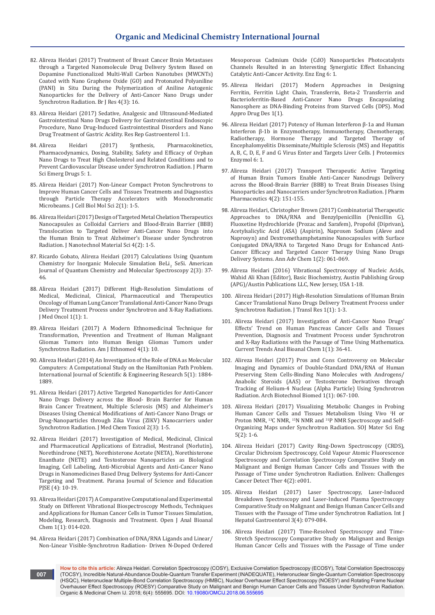- 82. [Alireza Heidari \(2017\) Treatment of Breast Cancer Brain Metastases](http://www.imedpub.com/articles/treatment-of-breast-cancer-brain-metastases-through-a-targeted-nanomoleculedrug-delivery-system-based-on-dopamine-functionalized-m.php?aid=19806)  [through a Targeted Nanomolecule Drug Delivery System Based on](http://www.imedpub.com/articles/treatment-of-breast-cancer-brain-metastases-through-a-targeted-nanomoleculedrug-delivery-system-based-on-dopamine-functionalized-m.php?aid=19806)  [Dopamine Functionalized Multi-Wall Carbon Nanotubes \(MWCNTs\)](http://www.imedpub.com/articles/treatment-of-breast-cancer-brain-metastases-through-a-targeted-nanomoleculedrug-delivery-system-based-on-dopamine-functionalized-m.php?aid=19806)  [Coated with Nano Graphene Oxide \(GO\) and Protonated Polyaniline](http://www.imedpub.com/articles/treatment-of-breast-cancer-brain-metastases-through-a-targeted-nanomoleculedrug-delivery-system-based-on-dopamine-functionalized-m.php?aid=19806)  [\(PANI\) in Situ During the Polymerization of Aniline Autogenic](http://www.imedpub.com/articles/treatment-of-breast-cancer-brain-metastases-through-a-targeted-nanomoleculedrug-delivery-system-based-on-dopamine-functionalized-m.php?aid=19806)  [Nanoparticles for the Delivery of Anti-Cancer Nano Drugs under](http://www.imedpub.com/articles/treatment-of-breast-cancer-brain-metastases-through-a-targeted-nanomoleculedrug-delivery-system-based-on-dopamine-functionalized-m.php?aid=19806)  [Synchrotron Radiation. Br J Res 4\(3\): 16.](http://www.imedpub.com/articles/treatment-of-breast-cancer-brain-metastases-through-a-targeted-nanomoleculedrug-delivery-system-based-on-dopamine-functionalized-m.php?aid=19806)
- 83. Alireza Heidari (2017) Sedative, Analgesic and Ultrasound-Mediated Gastrointestinal Nano Drugs Delivery for Gastrointestinal Endoscopic Procedure, Nano Drug-Induced Gastrointestinal Disorders and Nano Drug Treatment of Gastric Acidity. Res Rep Gastroenterol 1:1.
- 84. [Alireza Heidari \(2017\) Synthesis, Pharmacokinetics,](https://www.scitechnol.com/peer-review/synthesis-pharmacokinetics-pharmacodynamics-dosing-stability-safety-and-efficacy-of-orphan-nano-drugs-to-treat-high-cholesterol-an-yxsX.php?article_id=6404)  [Pharmacodynamics, Dosing, Stability, Safety and Efficacy of Orphan](https://www.scitechnol.com/peer-review/synthesis-pharmacokinetics-pharmacodynamics-dosing-stability-safety-and-efficacy-of-orphan-nano-drugs-to-treat-high-cholesterol-an-yxsX.php?article_id=6404)  [Nano Drugs to Treat High Cholesterol and Related Conditions and to](https://www.scitechnol.com/peer-review/synthesis-pharmacokinetics-pharmacodynamics-dosing-stability-safety-and-efficacy-of-orphan-nano-drugs-to-treat-high-cholesterol-an-yxsX.php?article_id=6404)  [Prevent Cardiovascular Disease under Synchrotron Radiation. J Pharm](https://www.scitechnol.com/peer-review/synthesis-pharmacokinetics-pharmacodynamics-dosing-stability-safety-and-efficacy-of-orphan-nano-drugs-to-treat-high-cholesterol-an-yxsX.php?article_id=6404)  [Sci Emerg Drugs 5: 1.](https://www.scitechnol.com/peer-review/synthesis-pharmacokinetics-pharmacodynamics-dosing-stability-safety-and-efficacy-of-orphan-nano-drugs-to-treat-high-cholesterol-an-yxsX.php?article_id=6404)
- 85. [Alireza Heidari \(2017\) Non-Linear Compact Proton Synchrotrons to](https://www.ommegaonline.org/article-details/Non%E2%80%93Linear-Compact-Proton-Synchrotrons-to-Improve-Human-Cancer-Cells-and-Tissues-Treatments-and-Diagnostics-through-Particle-Therapy-Accelerators-with-Monochromatic-Microbeams/1631)  [Improve Human Cancer Cells and Tissues Treatments and Diagnostics](https://www.ommegaonline.org/article-details/Non%E2%80%93Linear-Compact-Proton-Synchrotrons-to-Improve-Human-Cancer-Cells-and-Tissues-Treatments-and-Diagnostics-through-Particle-Therapy-Accelerators-with-Monochromatic-Microbeams/1631)  [through Particle Therapy Accelerators with Monochromatic](https://www.ommegaonline.org/article-details/Non%E2%80%93Linear-Compact-Proton-Synchrotrons-to-Improve-Human-Cancer-Cells-and-Tissues-Treatments-and-Diagnostics-through-Particle-Therapy-Accelerators-with-Monochromatic-Microbeams/1631)  [Microbeams. J Cell Biol Mol Sci 2\(1\): 1-5.](https://www.ommegaonline.org/article-details/Non%E2%80%93Linear-Compact-Proton-Synchrotrons-to-Improve-Human-Cancer-Cells-and-Tissues-Treatments-and-Diagnostics-through-Particle-Therapy-Accelerators-with-Monochromatic-Microbeams/1631)
- 86. [Alireza Heidari \(2017\) Design of Targeted Metal Chelation Therapeutics](https://www.researchgate.net/publication/321750653_Design_of_Targeted_Metal_Chelation_Therapeutics_Nanocapsules_as_Colloidal_Carriers_and_Blood-Brain_Barrier_BBB_Translocation_to_Targeted_Deliver_Anti-Cancer_Nano_Drugs_into_the_Human_Brain_to_Treat_Al)  [Nanocapsules as Colloidal Carriers and Blood-Brain Barrier \(BBB\)](https://www.researchgate.net/publication/321750653_Design_of_Targeted_Metal_Chelation_Therapeutics_Nanocapsules_as_Colloidal_Carriers_and_Blood-Brain_Barrier_BBB_Translocation_to_Targeted_Deliver_Anti-Cancer_Nano_Drugs_into_the_Human_Brain_to_Treat_Al)  [Translocation to Targeted Deliver Anti-Cancer Nano Drugs into](https://www.researchgate.net/publication/321750653_Design_of_Targeted_Metal_Chelation_Therapeutics_Nanocapsules_as_Colloidal_Carriers_and_Blood-Brain_Barrier_BBB_Translocation_to_Targeted_Deliver_Anti-Cancer_Nano_Drugs_into_the_Human_Brain_to_Treat_Al)  [the Human Brain to Treat Alzheimer's Disease under Synchrotron](https://www.researchgate.net/publication/321750653_Design_of_Targeted_Metal_Chelation_Therapeutics_Nanocapsules_as_Colloidal_Carriers_and_Blood-Brain_Barrier_BBB_Translocation_to_Targeted_Deliver_Anti-Cancer_Nano_Drugs_into_the_Human_Brain_to_Treat_Al)  [Radiation. J Nanotechnol Material Sci 4\(2\): 1-5.](https://www.researchgate.net/publication/321750653_Design_of_Targeted_Metal_Chelation_Therapeutics_Nanocapsules_as_Colloidal_Carriers_and_Blood-Brain_Barrier_BBB_Translocation_to_Targeted_Deliver_Anti-Cancer_Nano_Drugs_into_the_Human_Brain_to_Treat_Al)
- 87. [Ricardo Gobato, Alireza Heidari \(2017\) Calculations Using Quantum](https://www.researchgate.net/publication/319330189_Calculations_Using_Quantum_Chemistry_for_Inorganic_Molecule_Simulation_BeLi_2_SeSi)  Chemistry for Inorganic Molecule Simulation BeLi<sub>2</sub> SeSi. American [Journal of Quantum Chemistry and Molecular Spectroscopy 2\(3\): 37-](https://www.researchgate.net/publication/319330189_Calculations_Using_Quantum_Chemistry_for_Inorganic_Molecule_Simulation_BeLi_2_SeSi) [46.](https://www.researchgate.net/publication/319330189_Calculations_Using_Quantum_Chemistry_for_Inorganic_Molecule_Simulation_BeLi_2_SeSi)
- 88. [Alireza Heidari \(2017\) Different High-Resolution Simulations of](http://www.imedpub.com/articles/highresolution-simulations-of-medical-medicinal-and-therapeutics-oncology-of-human-lung-cancer-translational-nano-drugs-delivery-t.pdf)  [Medical, Medicinal, Clinical, Pharmaceutical and Therapeutics](http://www.imedpub.com/articles/highresolution-simulations-of-medical-medicinal-and-therapeutics-oncology-of-human-lung-cancer-translational-nano-drugs-delivery-t.pdf)  [Oncology of Human Lung Cancer Translational Anti-Cancer Nano Drugs](http://www.imedpub.com/articles/highresolution-simulations-of-medical-medicinal-and-therapeutics-oncology-of-human-lung-cancer-translational-nano-drugs-delivery-t.pdf)  [Delivery Treatment Process under Synchrotron and X-Ray Radiations.](http://www.imedpub.com/articles/highresolution-simulations-of-medical-medicinal-and-therapeutics-oncology-of-human-lung-cancer-translational-nano-drugs-delivery-t.pdf)  [J Med Oncol 1\(1\): 1.](http://www.imedpub.com/articles/highresolution-simulations-of-medical-medicinal-and-therapeutics-oncology-of-human-lung-cancer-translational-nano-drugs-delivery-t.pdf)
- 89. [Alireza Heidari \(2017\) A Modern Ethnomedicinal Technique for](http://www.imedpub.com/articles/a-modern-ethnomedicinal-technique-fortransformation-prevention-and-treatmentof-human-malignant-gliomas-tumors-intohuman-benign-gli.php?aid=20331)  [Transformation, Prevention and Treatment of Human Malignant](http://www.imedpub.com/articles/a-modern-ethnomedicinal-technique-fortransformation-prevention-and-treatmentof-human-malignant-gliomas-tumors-intohuman-benign-gli.php?aid=20331)  [Gliomas Tumors into Human Benign Gliomas Tumors under](http://www.imedpub.com/articles/a-modern-ethnomedicinal-technique-fortransformation-prevention-and-treatmentof-human-malignant-gliomas-tumors-intohuman-benign-gli.php?aid=20331)  [Synchrotron Radiation. Am J Ethnomed 4\(1\): 10.](http://www.imedpub.com/articles/a-modern-ethnomedicinal-technique-fortransformation-prevention-and-treatmentof-human-malignant-gliomas-tumors-intohuman-benign-gli.php?aid=20331)
- 90. [Alireza Heidari \(2014\) An Investigation of the Role of DNA as Molecular](https://www.ijser.org/researchpaper/An-investigation-of-the-role-of-DNA-as-molecular-computers.pdf)  [Computers: A Computational Study on the Hamiltonian Path Problem.](https://www.ijser.org/researchpaper/An-investigation-of-the-role-of-DNA-as-molecular-computers.pdf)  [International Journal of Scientific & Engineering Research 5\(1\): 1884-](https://www.ijser.org/researchpaper/An-investigation-of-the-role-of-DNA-as-molecular-computers.pdf) [1889.](https://www.ijser.org/researchpaper/An-investigation-of-the-role-of-DNA-as-molecular-computers.pdf)
- 91. Alireza Heidari (2017) Active Targeted Nanoparticles for Anti-Cancer Nano Drugs Delivery across the Blood- Brain Barrier for Human Brain Cancer Treatment, Multiple Sclerosis (MS) and Alzheimer's Diseases Using Chemical Modifications of Anti-Cancer Nano Drugs or Drug-Nanoparticles through Zika Virus (ZIKV) Nanocarriers under Synchrotron Radiation. J Med Chem Toxicol 2(3): 1-5.
- 92. Alireza Heidari (2017) Investigation of Medical, Medicinal, Clinical and Pharmaceutical Applications of Estradiol, Mestranol (Norlutin), Norethindrone (NET), Norethisterone Acetate (NETA), Norethisterone Enanthate (NETE) and Testosterone Nanoparticles as Biological Imaging, Cell Labeling, Anti-Microbial Agents and Anti-Cancer Nano Drugs in Nanomedicines Based Drug Delivery Systems for Anti-Cancer Targeting and Treatment. Parana Journal of Science and Education PJSE (4): 10-19.
- 93. [Alireza Heidari \(2017\) A Comparative Computational and Experimental](https://www.peertechz.com/articles/a-comparative-computational-and-experimental-study-on-different-vibrational-biospectroscopy-methods-techniques-and-applications-for-human-cancer-cells-in-tumor-tissues-simulation-modeling-research-diagnosis-and-treatment.)  [Study on Different Vibrational Biospectroscopy Methods, Techniques](https://www.peertechz.com/articles/a-comparative-computational-and-experimental-study-on-different-vibrational-biospectroscopy-methods-techniques-and-applications-for-human-cancer-cells-in-tumor-tissues-simulation-modeling-research-diagnosis-and-treatment.)  [and Applications for Human Cancer Cells in Tumor Tissues Simulation,](https://www.peertechz.com/articles/a-comparative-computational-and-experimental-study-on-different-vibrational-biospectroscopy-methods-techniques-and-applications-for-human-cancer-cells-in-tumor-tissues-simulation-modeling-research-diagnosis-and-treatment.)  [Modeling, Research, Diagnosis and Treatment. Open J Anal Bioanal](https://www.peertechz.com/articles/a-comparative-computational-and-experimental-study-on-different-vibrational-biospectroscopy-methods-techniques-and-applications-for-human-cancer-cells-in-tumor-tissues-simulation-modeling-research-diagnosis-and-treatment.)  [Chem 1\(1\): 014-020.](https://www.peertechz.com/articles/a-comparative-computational-and-experimental-study-on-different-vibrational-biospectroscopy-methods-techniques-and-applications-for-human-cancer-cells-in-tumor-tissues-simulation-modeling-research-diagnosis-and-treatment.)
- 94. [Alireza Heidari \(2017\) Combination of DNA/RNA Ligands and Linear/](https://www.omicsonline.org/peer-reviewed/combination-of-dnarna-ligands-and-linearnonlinear-visiblernsynchrotron-radiationdriven-ndoped-ordered-mesoporousrncadmium-oxide-cd-93275.html/) [Non-Linear Visible-Synchrotron Radiation- Driven N-Doped Ordered](https://www.omicsonline.org/peer-reviewed/combination-of-dnarna-ligands-and-linearnonlinear-visiblernsynchrotron-radiationdriven-ndoped-ordered-mesoporousrncadmium-oxide-cd-93275.html/)

[Mesoporous Cadmium Oxide \(CdO\) Nanoparticles Photocatalysts](https://www.omicsonline.org/peer-reviewed/combination-of-dnarna-ligands-and-linearnonlinear-visiblernsynchrotron-radiationdriven-ndoped-ordered-mesoporousrncadmium-oxide-cd-93275.html/)  [Channels Resulted in an Interesting Synergistic Effect Enhancing](https://www.omicsonline.org/peer-reviewed/combination-of-dnarna-ligands-and-linearnonlinear-visiblernsynchrotron-radiationdriven-ndoped-ordered-mesoporousrncadmium-oxide-cd-93275.html/)  [Catalytic Anti-Cancer Activity. Enz Eng 6: 1.](https://www.omicsonline.org/peer-reviewed/combination-of-dnarna-ligands-and-linearnonlinear-visiblernsynchrotron-radiationdriven-ndoped-ordered-mesoporousrncadmium-oxide-cd-93275.html/)

- 95. Alireza Heidari (2017) Modern Approaches in Designing Ferritin, Ferritin Light Chain, Transferrin, Beta-2 Transferrin and Bacterioferritin-Based Anti-Cancer Nano Drugs Encapsulating Nanosphere as DNA-Binding Proteins from Starved Cells (DPS). Mod Appro Drug Des 1(1).
- 96. [Alireza Heidari \(2017\) Potency of Human Interferon β-1a and Human](https://www.scitechnol.com/peer-review/potency-of-human-interferon-1a-and-human-interferon-1b-in-enzymotherapy-immunotherapy-chemotherapy-radiotherapy-hormone-therapy-an-C0ib.php?article_id=6180)  [Interferon β-1b in Enzymotherapy, Immunotherapy, Chemotherapy,](https://www.scitechnol.com/peer-review/potency-of-human-interferon-1a-and-human-interferon-1b-in-enzymotherapy-immunotherapy-chemotherapy-radiotherapy-hormone-therapy-an-C0ib.php?article_id=6180)  [Radiotherapy, Hormone Therapy and Targeted Therapy of](https://www.scitechnol.com/peer-review/potency-of-human-interferon-1a-and-human-interferon-1b-in-enzymotherapy-immunotherapy-chemotherapy-radiotherapy-hormone-therapy-an-C0ib.php?article_id=6180)  [Encephalomyelitis Disseminate/Multiple Sclerosis \(MS\) and Hepatitis](https://www.scitechnol.com/peer-review/potency-of-human-interferon-1a-and-human-interferon-1b-in-enzymotherapy-immunotherapy-chemotherapy-radiotherapy-hormone-therapy-an-C0ib.php?article_id=6180)  [A, B, C, D, E, F and G Virus Enter and Targets Liver Cells. J Proteomics](https://www.scitechnol.com/peer-review/potency-of-human-interferon-1a-and-human-interferon-1b-in-enzymotherapy-immunotherapy-chemotherapy-radiotherapy-hormone-therapy-an-C0ib.php?article_id=6180)  [Enzymol 6: 1.](https://www.scitechnol.com/peer-review/potency-of-human-interferon-1a-and-human-interferon-1b-in-enzymotherapy-immunotherapy-chemotherapy-radiotherapy-hormone-therapy-an-C0ib.php?article_id=6180)
- 97. [Alireza Heidari \(2017\) Transport Therapeutic Active Targeting](http://paper.researchbib.com/view/paper/142875)  [of Human Brain Tumors Enable Anti-Cancer Nanodrugs Delivery](http://paper.researchbib.com/view/paper/142875)  [across the Blood-Brain Barrier \(BBB\) to Treat Brain Diseases Using](http://paper.researchbib.com/view/paper/142875)  [Nanoparticles and Nanocarriers under Synchrotron Radiation. J Pharm](http://paper.researchbib.com/view/paper/142875)  [Pharmaceutics 4\(2\): 151-155.](http://paper.researchbib.com/view/paper/142875)
- 98. [Alireza Heidari, Christopher Brown \(2017\) Combinatorial Therapeutic](https://www.heighpubs.org/hjc/aac-aid1008.php)  [Approaches to DNA/RNA and Benzylpenicillin \(Penicillin G\),](https://www.heighpubs.org/hjc/aac-aid1008.php)  [Fluoxetine Hydrochloride \(Prozac and Sarafem\), Propofol \(Diprivan\),](https://www.heighpubs.org/hjc/aac-aid1008.php)  [Acetylsalicylic Acid \(ASA\) \(Aspirin\), Naproxen Sodium \(Aleve and](https://www.heighpubs.org/hjc/aac-aid1008.php)  [Naprosyn\) and Dextromethamphetamine Nanocapsules with Surface](https://www.heighpubs.org/hjc/aac-aid1008.php)  [Conjugated DNA/RNA to Targeted Nano Drugs for Enhanced Anti-](https://www.heighpubs.org/hjc/aac-aid1008.php)[Cancer Efficacy and Targeted Cancer Therapy Using Nano Drugs](https://www.heighpubs.org/hjc/aac-aid1008.php)  [Delivery Systems. Ann Adv Chem 1\(2\): 061-069.](https://www.heighpubs.org/hjc/aac-aid1008.php)
- 99. Alireza Heidari (2016) Vibrational Spectroscopy of Nucleic Acids, Wahid Ali Khan (Editor), Basic Biochemistry, Austin Publishing Group (APG)/Austin Publications LLC, New Jersey, USA 1-18.
- 100. [Alireza Heidari \(2017\) High-Resolution Simulations of Human Brain](http://www.alliedacademies.org/articles/highresolution-simulations-of-human-brain-cancer-translational-nano-drugs-delivery-treatment-process-under-synchrotron-radiation-8707.html)  [Cancer Translational Nano Drugs Delivery Treatment Process under](http://www.alliedacademies.org/articles/highresolution-simulations-of-human-brain-cancer-translational-nano-drugs-delivery-treatment-process-under-synchrotron-radiation-8707.html)  [Synchrotron Radiation. J Transl Res 1\(1\): 1-3.](http://www.alliedacademies.org/articles/highresolution-simulations-of-human-brain-cancer-translational-nano-drugs-delivery-treatment-process-under-synchrotron-radiation-8707.html)
- 101. [Alireza Heidari \(2017\) Investigation of Anti-Cancer Nano Drugs'](http://thescipages.org/Articles/analytical-and-bioanalytical-chemistry/ctabc-1-005.php?jid=analytical-and-bioanalytical-chemistry)  [Effects' Trend on Human Pancreas Cancer Cells and Tissues](http://thescipages.org/Articles/analytical-and-bioanalytical-chemistry/ctabc-1-005.php?jid=analytical-and-bioanalytical-chemistry)  [Prevention, Diagnosis and Treatment Process under Synchrotron](http://thescipages.org/Articles/analytical-and-bioanalytical-chemistry/ctabc-1-005.php?jid=analytical-and-bioanalytical-chemistry)  [and X-Ray Radiations with the Passage of Time Using Mathematica.](http://thescipages.org/Articles/analytical-and-bioanalytical-chemistry/ctabc-1-005.php?jid=analytical-and-bioanalytical-chemistry)  [Current Trends Anal Bioanal Chem 1\(1\): 36-41.](http://thescipages.org/Articles/analytical-and-bioanalytical-chemistry/ctabc-1-005.php?jid=analytical-and-bioanalytical-chemistry)
- 102. [Alireza Heidari \(2017\) Pros and Cons Controversy on Molecular](https://www.heighpubs.org/hjb/abb-aid1007.php)  [Imaging and Dynamics of Double-Standard DNA/RNA of Human](https://www.heighpubs.org/hjb/abb-aid1007.php)  [Preserving Stem Cells-Binding Nano Molecules with Androgens/](https://www.heighpubs.org/hjb/abb-aid1007.php) [Anabolic Steroids \(AAS\) or Testosterone Derivatives through](https://www.heighpubs.org/hjb/abb-aid1007.php)  [Tracking of Helium-4 Nucleus \(Alpha Particle\) Using Synchrotron](https://www.heighpubs.org/hjb/abb-aid1007.php)  [Radiation. Arch Biotechnol Biomed 1\(1\): 067-100.](https://www.heighpubs.org/hjb/abb-aid1007.php)
- 103. Alireza Heidari (2017) Visualizing Metabolic Changes in Probing Human Cancer Cells and Tissues Metabolism Using Vivo <sup>1</sup> H or Proton NMR, <sup>13</sup>C NMR, <sup>15</sup>N NMR and <sup>31</sup>P NMR Spectroscopy and Self-Organizing Maps under Synchrotron Radiation. SOJ Mater Sci Eng  $5(2): 1-6.$
- 104. [Alireza Heidari \(2017\) Cavity Ring-Down Spectroscopy \(CRDS\),](http://www.enlivenarchive.org/articles/cavity-ringdown-spectroscopy-crds-circular-dichroism-spectroscopycold-vapour-atomic-fluorescence-spectroscopy-and-correlation-spec.pdf)  [Circular Dichroism Spectroscopy, Cold Vapour Atomic Fluorescence](http://www.enlivenarchive.org/articles/cavity-ringdown-spectroscopy-crds-circular-dichroism-spectroscopycold-vapour-atomic-fluorescence-spectroscopy-and-correlation-spec.pdf)  [Spectroscopy and Correlation Spectroscopy Comparative Study on](http://www.enlivenarchive.org/articles/cavity-ringdown-spectroscopy-crds-circular-dichroism-spectroscopycold-vapour-atomic-fluorescence-spectroscopy-and-correlation-spec.pdf)  [Malignant and Benign Human Cancer Cells and Tissues with the](http://www.enlivenarchive.org/articles/cavity-ringdown-spectroscopy-crds-circular-dichroism-spectroscopycold-vapour-atomic-fluorescence-spectroscopy-and-correlation-spec.pdf)  [Passage of Time under Synchrotron Radiation. Enliven: Challenges](http://www.enlivenarchive.org/articles/cavity-ringdown-spectroscopy-crds-circular-dichroism-spectroscopycold-vapour-atomic-fluorescence-spectroscopy-and-correlation-spec.pdf)  [Cancer Detect Ther 4\(2\): e001.](http://www.enlivenarchive.org/articles/cavity-ringdown-spectroscopy-crds-circular-dichroism-spectroscopycold-vapour-atomic-fluorescence-spectroscopy-and-correlation-spec.pdf)
- 105. Alireza Heidari (2017) Laser Spectroscopy, Laser-Induced Breakdown Spectroscopy and Laser-Induced Plasma Spectroscopy Comparative Study on Malignant and Benign Human Cancer Cells and Tissues with the Passage of Time under Synchrotron Radiation. Int J Hepatol Gastroenterol 3(4): 079-084.
- 106. [Alireza Heidari \(2017\) Time-Resolved Spectroscopy and Time-](http://www.enlivenarchive.org/articles/timeresolved-spectroscopy-and-timestretch-spectroscopy-comparative-study-onmalignant-and-benign-human-cancer-cells-and-tissues-wit.html)[Stretch Spectroscopy Comparative Study on Malignant and Benign](http://www.enlivenarchive.org/articles/timeresolved-spectroscopy-and-timestretch-spectroscopy-comparative-study-onmalignant-and-benign-human-cancer-cells-and-tissues-wit.html)  [Human Cancer Cells and Tissues with the Passage of Time under](http://www.enlivenarchive.org/articles/timeresolved-spectroscopy-and-timestretch-spectroscopy-comparative-study-onmalignant-and-benign-human-cancer-cells-and-tissues-wit.html)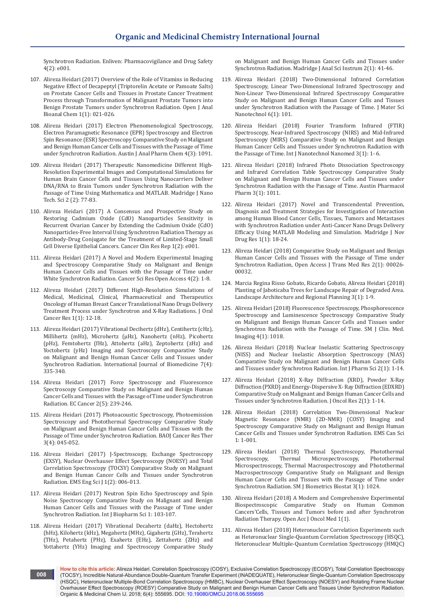[Synchrotron Radiation. Enliven: Pharmacovigilance and Drug Safety](http://www.enlivenarchive.org/articles/timeresolved-spectroscopy-and-timestretch-spectroscopy-comparative-study-onmalignant-and-benign-human-cancer-cells-and-tissues-wit.html)  [4\(2\): e001.](http://www.enlivenarchive.org/articles/timeresolved-spectroscopy-and-timestretch-spectroscopy-comparative-study-onmalignant-and-benign-human-cancer-cells-and-tissues-wit.html)

- 107. Alireza Heidari (2017) Overview of the Role of Vitamins in Reducing Negative Effect of Decapeptyl (Triptorelin Acetate or Pamoate Salts) on Prostate Cancer Cells and Tissues in Prostate Cancer Treatment Process through Transformation of Malignant Prostate Tumors into Benign Prostate Tumors under Synchrotron Radiation. Open J Anal Bioanal Chem 1(1): 021-026.
- 108. Alireza Heidari (2017) Electron Phenomenological Spectroscopy, Electron Paramagnetic Resonance (EPR) Spectroscopy and Electron Spin Resonance (ESR) Spectroscopy Comparative Study on Malignant and Benign Human Cancer Cells and Tissues with the Passage of Time under Synchrotron Radiation. Austin J Anal Pharm Chem 4(3): 1091.
- 109. [Alireza Heidari \(2017\) Therapeutic Nanomedicine Different High-](https://symbiosisonlinepublishing.com/cancerscience-research/cancerscience-research37.php)[Resolution Experimental Images and Computational Simulations for](https://symbiosisonlinepublishing.com/cancerscience-research/cancerscience-research37.php)  [Human Brain Cancer Cells and Tissues Using Nanocarriers Deliver](https://symbiosisonlinepublishing.com/cancerscience-research/cancerscience-research37.php)  [DNA/RNA to Brain Tumors under Synchrotron Radiation with the](https://symbiosisonlinepublishing.com/cancerscience-research/cancerscience-research37.php)  [Passage of Time Using Mathematica and MATLAB. Madridge J Nano](https://symbiosisonlinepublishing.com/cancerscience-research/cancerscience-research37.php)  [Tech. Sci 2 \(2\): 77-83.](https://symbiosisonlinepublishing.com/cancerscience-research/cancerscience-research37.php)
- 110. [Alireza Heidari \(2017\) A Consensus and Prospective Study on](http://www.bibliotics.org/articles/a-consensus-and-prospective-study-on-restoring-cadmium-oxide-cdo-nanoparticles-sensitivity-in-recurrent-ovarian-cancer-by-extendin.pdf)  [Restoring Cadmium Oxide \(CdO\) Nanoparticles Sensitivity in](http://www.bibliotics.org/articles/a-consensus-and-prospective-study-on-restoring-cadmium-oxide-cdo-nanoparticles-sensitivity-in-recurrent-ovarian-cancer-by-extendin.pdf)  [Recurrent Ovarian Cancer by Extending the Cadmium Oxide \(CdO\)](http://www.bibliotics.org/articles/a-consensus-and-prospective-study-on-restoring-cadmium-oxide-cdo-nanoparticles-sensitivity-in-recurrent-ovarian-cancer-by-extendin.pdf)  [Nanoparticles-Free Interval Using Synchrotron Radiation Therapy as](http://www.bibliotics.org/articles/a-consensus-and-prospective-study-on-restoring-cadmium-oxide-cdo-nanoparticles-sensitivity-in-recurrent-ovarian-cancer-by-extendin.pdf)  [Antibody-Drug Conjugate for the Treatment of Limited-Stage Small](http://www.bibliotics.org/articles/a-consensus-and-prospective-study-on-restoring-cadmium-oxide-cdo-nanoparticles-sensitivity-in-recurrent-ovarian-cancer-by-extendin.pdf)  [Cell Diverse Epithelial Cancers. Cancer Clin Res Rep 1\(2\): e001.](http://www.bibliotics.org/articles/a-consensus-and-prospective-study-on-restoring-cadmium-oxide-cdo-nanoparticles-sensitivity-in-recurrent-ovarian-cancer-by-extendin.pdf)
- 111. [Alireza Heidari \(2017\) A Novel and Modern Experimental Imaging](https://symbiosisonlinepublishing.com/cancerscience-research/cancerscience-research37.pdf)  [and Spectroscopy Comparative Study on Malignant and Benign](https://symbiosisonlinepublishing.com/cancerscience-research/cancerscience-research37.pdf)  [Human Cancer Cells and Tissues with the Passage of Time under](https://symbiosisonlinepublishing.com/cancerscience-research/cancerscience-research37.pdf)  [White Synchrotron Radiation. Cancer Sci Res Open Access 4\(2\): 1-8.](https://symbiosisonlinepublishing.com/cancerscience-research/cancerscience-research37.pdf)
- 112. [Alireza Heidari \(2017\) Different High-Resolution Simulations of](http://scholarlypages.org/Articles/oral-cancer/jocr-1-003.php?jid=)  [Medical, Medicinal, Clinical, Pharmaceutical and Therapeutics](http://scholarlypages.org/Articles/oral-cancer/jocr-1-003.php?jid=)  [Oncology of Human Breast Cancer Translational Nano Drugs Delivery](http://scholarlypages.org/Articles/oral-cancer/jocr-1-003.php?jid=)  [Treatment Process under Synchrotron and X-Ray Radiations. J Oral](http://scholarlypages.org/Articles/oral-cancer/jocr-1-003.php?jid=)  [Cancer Res 1\(1\): 12-18.](http://scholarlypages.org/Articles/oral-cancer/jocr-1-003.php?jid=)
- 113. [Alireza Heidari \(2017\) Vibrational Decihertz \(dHz\), Centihertz \(cHz\),](http://www.ijbm.org/articles/IJBM_7(4)_IA1.pdf)  [Millihertz \(mHz\), Microhertz \(μHz\), Nanohertz \(nHz\), Picohertz](http://www.ijbm.org/articles/IJBM_7(4)_IA1.pdf)  [\(pHz\), Femtohertz \(fHz\), Attohertz \(aHz\), Zeptohertz \(zHz\) and](http://www.ijbm.org/articles/IJBM_7(4)_IA1.pdf)  [Yoctohertz \(yHz\) Imaging and Spectroscopy Comparative Study](http://www.ijbm.org/articles/IJBM_7(4)_IA1.pdf)  [on Malignant and Benign Human Cancer Cells and Tissues under](http://www.ijbm.org/articles/IJBM_7(4)_IA1.pdf)  [Synchrotron Radiation. International Journal of Biomedicine 7\(4\):](http://www.ijbm.org/articles/IJBM_7(4)_IA1.pdf)  [335-340.](http://www.ijbm.org/articles/IJBM_7(4)_IA1.pdf)
- 114. [Alireza Heidari \(2017\) Force Spectroscopy and Fluorescence](https://www.ecronicon.com/ecca/pdf/ECCA-02-00036.pdf)  [Spectroscopy Comparative Study on Malignant and Benign Human](https://www.ecronicon.com/ecca/pdf/ECCA-02-00036.pdf)  [Cancer Cells and Tissues with the Passage of Time under Synchrotron](https://www.ecronicon.com/ecca/pdf/ECCA-02-00036.pdf)  [Radiation. EC Cancer 2\(5\): 239-246.](https://www.ecronicon.com/ecca/pdf/ECCA-02-00036.pdf)
- 115. [Alireza Heidari \(2017\) Photoacoustic Spectroscopy, Photoemission](https://bioaccent.org/cancer-sciences/cancer-sciences45.pdf)  [Spectroscopy and Photothermal Spectroscopy Comparative Study](https://bioaccent.org/cancer-sciences/cancer-sciences45.pdf)  [on Malignant and Benign Human Cancer Cells and Tissues with the](https://bioaccent.org/cancer-sciences/cancer-sciences45.pdf)  [Passage of Time under Synchrotron Radiation. BAOJ Cancer Res Ther](https://bioaccent.org/cancer-sciences/cancer-sciences45.pdf)  [3\(4\): 045-052.](https://bioaccent.org/cancer-sciences/cancer-sciences45.pdf)
- 116. Alireza Heidari (2017) J-Spectroscopy, Exchange Spectroscopy (EXSY), Nuclear Overhauser Effect Spectroscopy (NOESY) and Total Correlation Spectroscopy (TOCSY) Comparative Study on Malignant and Benign Human Cancer Cells and Tissues under Synchrotron Radiation. EMS Eng Sci J 1(2): 006-013.
- 117. [Alireza Heidari \(2017\) Neutron Spin Echo Spectroscopy and Spin](https://www.boffinaccess.com/open-access-journals/international-journal-of-biopharmaceutical-sciences/neutron-spin-echo-spectroscopy-and-spin-noise-spectroscopy-comparative-study-ijbs-1-103.php)  [Noise Spectroscopy Comparative Study on Malignant and Benign](https://www.boffinaccess.com/open-access-journals/international-journal-of-biopharmaceutical-sciences/neutron-spin-echo-spectroscopy-and-spin-noise-spectroscopy-comparative-study-ijbs-1-103.php)  [Human Cancer Cells and Tissues with the Passage of Time under](https://www.boffinaccess.com/open-access-journals/international-journal-of-biopharmaceutical-sciences/neutron-spin-echo-spectroscopy-and-spin-noise-spectroscopy-comparative-study-ijbs-1-103.php)  [Synchrotron Radiation. Int J Biopharm Sci 1: 103-107.](https://www.boffinaccess.com/open-access-journals/international-journal-of-biopharmaceutical-sciences/neutron-spin-echo-spectroscopy-and-spin-noise-spectroscopy-comparative-study-ijbs-1-103.php)
- 118. Alireza Heidari (2017) Vibrational Decahertz (daHz), Hectohertz (hHz), Kilohertz (kHz), Megahertz (MHz), Gigahertz (GHz), Terahertz (THz), Petahertz (PHz), Exahertz (EHz), Zettahertz (ZHz) and Yottahertz (YHz) Imaging and Spectroscopy Comparative Study

on Malignant and Benign Human Cancer Cells and Tissues under Synchrotron Radiation. Madridge J Anal Sci Instrum 2(1): 41-46.

- 119. [Alireza Heidari \(2018\) Two-Dimensional Infrared Correlation](http://www.annexpublishers.co/articles/JMSN/6101-Two-Dimensional-Infrared-Correlation-Spectroscopy-Linear.pdf)  [Spectroscopy, Linear Two-Dimensional Infrared Spectroscopy and](http://www.annexpublishers.co/articles/JMSN/6101-Two-Dimensional-Infrared-Correlation-Spectroscopy-Linear.pdf)  [Non-Linear Two-Dimensional Infrared Spectroscopy Comparative](http://www.annexpublishers.co/articles/JMSN/6101-Two-Dimensional-Infrared-Correlation-Spectroscopy-Linear.pdf)  [Study on Malignant and Benign Human Cancer Cells and Tissues](http://www.annexpublishers.co/articles/JMSN/6101-Two-Dimensional-Infrared-Correlation-Spectroscopy-Linear.pdf)  [under Synchrotron Radiation with the Passage of Time. J Mater Sci](http://www.annexpublishers.co/articles/JMSN/6101-Two-Dimensional-Infrared-Correlation-Spectroscopy-Linear.pdf)  [Nanotechnol 6\(1\): 101.](http://www.annexpublishers.co/articles/JMSN/6101-Two-Dimensional-Infrared-Correlation-Spectroscopy-Linear.pdf)
- 120. [Alireza Heidari \(2018\) Fourier Transform Infrared \(FTIR\)](http://www.opastonline.com/wp-content/uploads/2018/01/fourier-transform-infrared-spectroscopy-near-infrared-spectroscopy-mid-infrared-spectroscopy-comparative-study-on-malignant-benign-human-cancer-cells-tissues-ijnn-18-001.pdf)  [Spectroscopy, Near-Infrared Spectroscopy \(NIRS\) and Mid-Infrared](http://www.opastonline.com/wp-content/uploads/2018/01/fourier-transform-infrared-spectroscopy-near-infrared-spectroscopy-mid-infrared-spectroscopy-comparative-study-on-malignant-benign-human-cancer-cells-tissues-ijnn-18-001.pdf)  [Spectroscopy \(MIRS\) Comparative Study on Malignant and Benign](http://www.opastonline.com/wp-content/uploads/2018/01/fourier-transform-infrared-spectroscopy-near-infrared-spectroscopy-mid-infrared-spectroscopy-comparative-study-on-malignant-benign-human-cancer-cells-tissues-ijnn-18-001.pdf)  [Human Cancer Cells and Tissues under Synchrotron Radiation with](http://www.opastonline.com/wp-content/uploads/2018/01/fourier-transform-infrared-spectroscopy-near-infrared-spectroscopy-mid-infrared-spectroscopy-comparative-study-on-malignant-benign-human-cancer-cells-tissues-ijnn-18-001.pdf)  [the Passage of Time. Int J Nanotechnol Nanomed 3\(1\): 1- 6.](http://www.opastonline.com/wp-content/uploads/2018/01/fourier-transform-infrared-spectroscopy-near-infrared-spectroscopy-mid-infrared-spectroscopy-comparative-study-on-malignant-benign-human-cancer-cells-tissues-ijnn-18-001.pdf)
- 121. Alireza Heidari (2018) Infrared Photo Dissociation Spectroscopy and Infrared Correlation Table Spectroscopy Comparative Study on Malignant and Benign Human Cancer Cells and Tissues under Synchrotron Radiation with the Passage of Time. Austin Pharmacol Pharm 3(1): 1011.
- 122. Alireza Heidari (2017) Novel and Transcendental Prevention, Diagnosis and Treatment Strategies for Investigation of Interaction among Human Blood Cancer Cells, Tissues, Tumors and Metastases with Synchrotron Radiation under Anti-Cancer Nano Drugs Delivery Efficacy Using MATLAB Modeling and Simulation. Madridge J Nov Drug Res 1(1): 18-24.
- 123. [Alireza Heidari \(2018\) Comparative Study on Malignant and Benign](http://medcraveonline.com/OAJTMR/OAJTMR-02-00026.pdf)  [Human Cancer Cells and Tissues with the Passage of Time under](http://medcraveonline.com/OAJTMR/OAJTMR-02-00026.pdf)  [Synchrotron Radiation, Open Access J Trans Med Res 2\(1\): 00026-](http://medcraveonline.com/OAJTMR/OAJTMR-02-00026.pdf) [00032.](http://medcraveonline.com/OAJTMR/OAJTMR-02-00026.pdf)
- 124. [Marcia Regina Risso Gobato, Ricardo Gobato, Alireza Heidari \(2018\)](http://www.sciencepublishinggroup.com/journal/paperinfo?journalid=241&doi=10.11648/j.larp.20180301.11)  [Planting of Jaboticaba Trees for Landscape Repair of Degraded Area.](http://www.sciencepublishinggroup.com/journal/paperinfo?journalid=241&doi=10.11648/j.larp.20180301.11)  [Landscape Architecture and Regional Planning 3\(1\): 1-9.](http://www.sciencepublishinggroup.com/journal/paperinfo?journalid=241&doi=10.11648/j.larp.20180301.11)
- 125. Alireza Heidari (2018) Fluorescence Spectroscopy, Phosphorescence Spectroscopy and Luminescence Spectroscopy Comparative Study on Malignant and Benign Human Cancer Cells and Tissues under Synchrotron Radiation with the Passage of Time. SM J Clin. Med. Imaging 4(1): 1018.
- 126. Alireza Heidari (2018) Nuclear Inelastic Scattering Spectroscopy (NISS) and Nuclear Inelastic Absorption Spectroscopy (NIAS) Comparative Study on Malignant and Benign Human Cancer Cells and Tissues under Synchrotron Radiation. Int J Pharm Sci 2(1): 1-14.
- 127. [Alireza Heidari \(2018\) X-Ray Diffraction \(XRD\), Powder X-Ray](https://www.gudapuris.com/articles/JOR-2-e201.pdf)  [Diffraction \(PXRD\) and Energy-Dispersive X- Ray Diffraction \(EDXRD\)](https://www.gudapuris.com/articles/JOR-2-e201.pdf)  [Comparative Study on Malignant and Benign Human Cancer Cells and](https://www.gudapuris.com/articles/JOR-2-e201.pdf)  [Tissues under Synchrotron Radiation. J Oncol Res 2\(1\): 1-14.](https://www.gudapuris.com/articles/JOR-2-e201.pdf)
- 128. Alireza Heidari (2018) Correlation Two-Dimensional Nuclear Magnetic Resonance (NMR) (2D-NMR) (COSY) Imaging and Spectroscopy Comparative Study on Malignant and Benign Human Cancer Cells and Tissues under Synchrotron Radiation. EMS Can Sci 1: 1-001.
- 129. Alireza Heidari (2018) Thermal Spectroscopy, Photothermal Microspectroscopy, Microspectroscopy, Thermal Macrospectroscopy and Photothermal Macrospectroscopy Comparative Study on Malignant and Benign Human Cancer Cells and Tissues with the Passage of Time under Synchrotron Radiation. SM J Biometrics Biostat 3(1): 1024.
- 130. [Alireza Heidari \(2018\) A Modern and Comprehensive Experimental](http://www.lupinepublishers.com/oajom/pdf/OAJOM.MS.ID.000104.pdf)  [Biospectroscopic Comparative Study on Human Common](http://www.lupinepublishers.com/oajom/pdf/OAJOM.MS.ID.000104.pdf)  [Cancers'Cells, Tissues and Tumors before and after Synchrotron](http://www.lupinepublishers.com/oajom/pdf/OAJOM.MS.ID.000104.pdf)  [Radiation Therapy. Open Acc J Oncol Med 1\(1\).](http://www.lupinepublishers.com/oajom/pdf/OAJOM.MS.ID.000104.pdf)
- 131. [Alireza Heidari \(2018\) Heteronuclear Correlation Experiments such](https://juniperpublishers.com/jetr/pdf/JETR.MS.ID.555604.pdf)  [as Heteronuclear Single-Quantum Correlation Spectroscopy \(HSQC\),](https://juniperpublishers.com/jetr/pdf/JETR.MS.ID.555604.pdf)  [Heteronuclear Multiple-Quantum Correlation Spectroscopy \(HMQC\)](https://juniperpublishers.com/jetr/pdf/JETR.MS.ID.555604.pdf)

**How to cite this article:** Alireza Heidari. Correlation Spectroscopy (COSY), Exclusive Correlation Spectroscopy (ECOSY), Total Correlation Spectroscopy (TOCSY), Incredible Natural-Abundance Double-Quantum Transfer Experiment (INADEQUATE), Heteronuclear Single-Quantum Correlation Spectroscopy (HSQC), Heteronuclear Multiple-Bond Correlation Spectroscopy (HMBC), Nuclear Overhauser Effect Spectroscopy (NOESY) and Rotating Frame Nuclear Overhauser Effect Spectroscopy (ROESY) Comparative Study on Malignant and Benign Human Cancer Cells and Tissues Under Synchrotron Radiation. Organic & Medicinal Chem IJ. 2018; 6(4): 555695. DOI: [10.19080/OMCIJ.2018.06.555695](http://dx.doi.org/10.19080/OMCIJ.2018.06.555695) **008**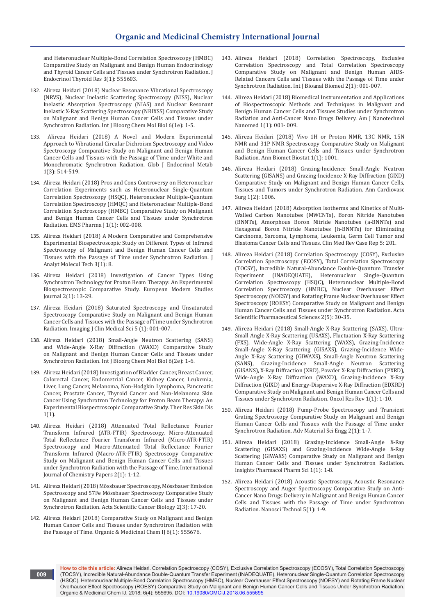[and Heteronuclear Multiple-Bond Correlation Spectroscopy \(HMBC\)](https://juniperpublishers.com/jetr/pdf/JETR.MS.ID.555604.pdf)  [Comparative Study on Malignant and Benign Human Endocrinology](https://juniperpublishers.com/jetr/pdf/JETR.MS.ID.555604.pdf)  [and Thyroid Cancer Cells and Tissues under Synchrotron Radiation. J](https://juniperpublishers.com/jetr/pdf/JETR.MS.ID.555604.pdf)  [Endocrinol Thyroid Res 3\(1\): 555603.](https://juniperpublishers.com/jetr/pdf/JETR.MS.ID.555604.pdf)

- 132. Alireza Heidari (2018) Nuclear Resonance Vibrational Spectroscopy (NRVS), Nuclear Inelastic Scattering Spectroscopy (NISS), Nuclear Inelastic Absorption Spectroscopy (NIAS) and Nuclear Resonant Inelastic X-Ray Scattering Spectroscopy (NRIXSS) Comparative Study on Malignant and Benign Human Cancer Cells and Tissues under Synchrotron Radiation. Int J Bioorg Chem Mol Biol 6(1e): 1-5.
- 133. [Alireza Heidari \(2018\) A Novel and Modern Experimental](http://crimsonpublishers.com/gjem/pdf/GJEM.000514.pdf)  [Approach to Vibrational Circular Dichroism Spectroscopy and Video](http://crimsonpublishers.com/gjem/pdf/GJEM.000514.pdf)  [Spectroscopy Comparative Study on Malignant and Benign Human](http://crimsonpublishers.com/gjem/pdf/GJEM.000514.pdf)  [Cancer Cells and Tissues with the Passage of Time under White and](http://crimsonpublishers.com/gjem/pdf/GJEM.000514.pdf)  [Monochromatic Synchrotron Radiation. Glob J Endocrinol Metab](http://crimsonpublishers.com/gjem/pdf/GJEM.000514.pdf)  [1\(3\): 514-519.](http://crimsonpublishers.com/gjem/pdf/GJEM.000514.pdf)
- 134. Alireza Heidari (2018) Pros and Cons Controversy on Heteronuclear Correlation Experiments such as Heteronuclear Single-Quantum Correlation Spectroscopy (HSQC), Heteronuclear Multiple-Quantum Correlation Spectroscopy (HMQC) and Heteronuclear Multiple-Bond Correlation Spectroscopy (HMBC) Comparative Study on Malignant and Benign Human Cancer Cells and Tissues under Synchrotron Radiation. EMS Pharma J 1(1): 002-008.
- 135. [Alireza Heidari \(2018\) A Modern Comparative and Comprehensive](http://www.avensonline.org/wp-content/uploads/JAMT-2474-1914-03-0007.pdf%5d)  [Experimental Biospectroscopic Study on Different Types of Infrared](http://www.avensonline.org/wp-content/uploads/JAMT-2474-1914-03-0007.pdf%5d)  [Spectroscopy of Malignant and Benign Human Cancer Cells and](http://www.avensonline.org/wp-content/uploads/JAMT-2474-1914-03-0007.pdf%5d)  [Tissues with the Passage of Time under Synchrotron Radiation. J](http://www.avensonline.org/wp-content/uploads/JAMT-2474-1914-03-0007.pdf%5d)  [Analyt Molecul Tech 3\(1\): 8.](http://www.avensonline.org/wp-content/uploads/JAMT-2474-1914-03-0007.pdf%5d)
- 136. [Alireza Heidari \(2018\) Investigation of Cancer Types Using](http://journal-ems.com/index.php/emsj/article/view/29)  [Synchrotron Technology for Proton Beam Therapy: An Experimental](http://journal-ems.com/index.php/emsj/article/view/29)  [Biospectroscopic Comparative Study. European Modern Studies](http://journal-ems.com/index.php/emsj/article/view/29)  [Journal 2\(1\): 13-29.](http://journal-ems.com/index.php/emsj/article/view/29)
- 137. [Alireza Heidari \(2018\) Saturated Spectroscopy and Unsaturated](https://www.peertechz.com/articles/saturated-spectroscopy-and-unsaturated-spectroscopy-comparative-study-on-malignant-and-benign-human-cancer-cells-and-tissues-with-the-passage-of-time-under-synchrotron-radiation)  [Spectroscopy Comparative Study on Malignant and Benign Human](https://www.peertechz.com/articles/saturated-spectroscopy-and-unsaturated-spectroscopy-comparative-study-on-malignant-and-benign-human-cancer-cells-and-tissues-with-the-passage-of-time-under-synchrotron-radiation)  [Cancer Cells and Tissues with the Passage of Time under Synchrotron](https://www.peertechz.com/articles/saturated-spectroscopy-and-unsaturated-spectroscopy-comparative-study-on-malignant-and-benign-human-cancer-cells-and-tissues-with-the-passage-of-time-under-synchrotron-radiation)  [Radiation. Imaging J Clin Medical Sci 5 \(1\): 001-007.](https://www.peertechz.com/articles/saturated-spectroscopy-and-unsaturated-spectroscopy-comparative-study-on-malignant-and-benign-human-cancer-cells-and-tissues-with-the-passage-of-time-under-synchrotron-radiation)
- 138. [Alireza Heidari \(2018\) Small-Angle Neutron Scattering \(SANS\)](https://scidoc.org/IJBCMB-2332-2756-06-002e.php)  [and Wide-Angle X-Ray Diffraction \(WAXD\) Comparative Study](https://scidoc.org/IJBCMB-2332-2756-06-002e.php)  [on Malignant and Benign Human Cancer Cells and Tissues under](https://scidoc.org/IJBCMB-2332-2756-06-002e.php)  [Synchrotron Radiation. Int J Bioorg Chem Mol Biol 6\(2e\): 1-6.](https://scidoc.org/IJBCMB-2332-2756-06-002e.php)
- 139. [Alireza Heidari \(2018\) Investigation of Bladder Cancer, Breast Cancer,](https://www.google.com/url?sa=t&rct=j&q=&esrc=s&source=web&cd=1&ved=0ahUKEwiZxN-Nh4rbAhXUXn0KHRvwDyQQFggoMAA&url=http%3A%2F%2Fwww.lupinepublishers.com%2Ftrsd%2Fpdf%2FTRSD.MS.ID.000102.pdf&usg=AOvVaw2Bz2hLAXkHmHxsamGx8KV9)  [Colorectal Cancer, Endometrial Cancer, Kidney Cancer, Leukemia,](https://www.google.com/url?sa=t&rct=j&q=&esrc=s&source=web&cd=1&ved=0ahUKEwiZxN-Nh4rbAhXUXn0KHRvwDyQQFggoMAA&url=http%3A%2F%2Fwww.lupinepublishers.com%2Ftrsd%2Fpdf%2FTRSD.MS.ID.000102.pdf&usg=AOvVaw2Bz2hLAXkHmHxsamGx8KV9)  [Liver, Lung Cancer, Melanoma, Non-Hodgkin Lymphoma, Pancreatic](https://www.google.com/url?sa=t&rct=j&q=&esrc=s&source=web&cd=1&ved=0ahUKEwiZxN-Nh4rbAhXUXn0KHRvwDyQQFggoMAA&url=http%3A%2F%2Fwww.lupinepublishers.com%2Ftrsd%2Fpdf%2FTRSD.MS.ID.000102.pdf&usg=AOvVaw2Bz2hLAXkHmHxsamGx8KV9)  [Cancer, Prostate Cancer, Thyroid Cancer and Non-Melanoma Skin](https://www.google.com/url?sa=t&rct=j&q=&esrc=s&source=web&cd=1&ved=0ahUKEwiZxN-Nh4rbAhXUXn0KHRvwDyQQFggoMAA&url=http%3A%2F%2Fwww.lupinepublishers.com%2Ftrsd%2Fpdf%2FTRSD.MS.ID.000102.pdf&usg=AOvVaw2Bz2hLAXkHmHxsamGx8KV9)  [Cancer Using Synchrotron Technology for Proton Beam Therapy: An](https://www.google.com/url?sa=t&rct=j&q=&esrc=s&source=web&cd=1&ved=0ahUKEwiZxN-Nh4rbAhXUXn0KHRvwDyQQFggoMAA&url=http%3A%2F%2Fwww.lupinepublishers.com%2Ftrsd%2Fpdf%2FTRSD.MS.ID.000102.pdf&usg=AOvVaw2Bz2hLAXkHmHxsamGx8KV9)  [Experimental Biospectroscopic Comparative Study. Ther Res Skin Dis](https://www.google.com/url?sa=t&rct=j&q=&esrc=s&source=web&cd=1&ved=0ahUKEwiZxN-Nh4rbAhXUXn0KHRvwDyQQFggoMAA&url=http%3A%2F%2Fwww.lupinepublishers.com%2Ftrsd%2Fpdf%2FTRSD.MS.ID.000102.pdf&usg=AOvVaw2Bz2hLAXkHmHxsamGx8KV9)  [1\(1\).](https://www.google.com/url?sa=t&rct=j&q=&esrc=s&source=web&cd=1&ved=0ahUKEwiZxN-Nh4rbAhXUXn0KHRvwDyQQFggoMAA&url=http%3A%2F%2Fwww.lupinepublishers.com%2Ftrsd%2Fpdf%2FTRSD.MS.ID.000102.pdf&usg=AOvVaw2Bz2hLAXkHmHxsamGx8KV9)
- 140. Alireza Heidari (2018) Attenuated Total Reflectance Fourier Transform Infrared (ATR-FTIR) Spectroscopy, Micro-Attenuated Total Reflectance Fourier Transform Infrared (Micro-ATR-FTIR) Spectroscopy and Macro-Attenuated Total Reflectance Fourier Transform Infrared (Macro-ATR-FTIR) Spectroscopy Comparative Study on Malignant and Benign Human Cancer Cells and Tissues under Synchrotron Radiation with the Passage of Time. International Journal of Chemistry Papers 2(1): 1-12.
- 141. [Alireza Heidari \(2018\) Mössbauer Spectroscopy, Mössbauer Emission](https://www.google.com/url?sa=t&rct=j&q=&esrc=s&source=web&cd=1&ved=0ahUKEwjjm7DthorbAhXKfSsKHXqjBisQFggmMAA&url=https%3A%2F%2Factascientific.com%2FASCB%2Fpdf%2FASCB-02-0030.pdf&usg=AOvVaw0IY8kbYy-ofN4mKrqiQOKv)  [Spectroscopy and 57Fe Mössbauer Spectroscopy Comparative Study](https://www.google.com/url?sa=t&rct=j&q=&esrc=s&source=web&cd=1&ved=0ahUKEwjjm7DthorbAhXKfSsKHXqjBisQFggmMAA&url=https%3A%2F%2Factascientific.com%2FASCB%2Fpdf%2FASCB-02-0030.pdf&usg=AOvVaw0IY8kbYy-ofN4mKrqiQOKv)  [on Malignant and Benign Human Cancer Cells and Tissues under](https://www.google.com/url?sa=t&rct=j&q=&esrc=s&source=web&cd=1&ved=0ahUKEwjjm7DthorbAhXKfSsKHXqjBisQFggmMAA&url=https%3A%2F%2Factascientific.com%2FASCB%2Fpdf%2FASCB-02-0030.pdf&usg=AOvVaw0IY8kbYy-ofN4mKrqiQOKv)  [Synchrotron Radiation. Acta Scientific Cancer Biology 2\(3\): 17-20.](https://www.google.com/url?sa=t&rct=j&q=&esrc=s&source=web&cd=1&ved=0ahUKEwjjm7DthorbAhXKfSsKHXqjBisQFggmMAA&url=https%3A%2F%2Factascientific.com%2FASCB%2Fpdf%2FASCB-02-0030.pdf&usg=AOvVaw0IY8kbYy-ofN4mKrqiQOKv)
- 142. [Alireza Heidari \(2018\) Comparative Study on Malignant and Benign](https://www.google.com/url?sa=t&rct=j&q=&esrc=s&source=web&cd=1&ved=0ahUKEwiv183bhorbAhUKWX0KHQDKAwwQFggmMAA&url=http%3A%2F%2Fmedcraveonline.com%2FOAJTMR%2FOAJTMR-02-00026.pdf&usg=AOvVaw3M0qG_QvU5-Lua7qbN8qhe)  [Human Cancer Cells and Tissues under Synchrotron Radiation with](https://www.google.com/url?sa=t&rct=j&q=&esrc=s&source=web&cd=1&ved=0ahUKEwiv183bhorbAhUKWX0KHQDKAwwQFggmMAA&url=http%3A%2F%2Fmedcraveonline.com%2FOAJTMR%2FOAJTMR-02-00026.pdf&usg=AOvVaw3M0qG_QvU5-Lua7qbN8qhe)  [the Passage of Time. Organic & Medicinal Chem IJ 6\(1\): 555676.](https://www.google.com/url?sa=t&rct=j&q=&esrc=s&source=web&cd=1&ved=0ahUKEwiv183bhorbAhUKWX0KHQDKAwwQFggmMAA&url=http%3A%2F%2Fmedcraveonline.com%2FOAJTMR%2FOAJTMR-02-00026.pdf&usg=AOvVaw3M0qG_QvU5-Lua7qbN8qhe)
- 143. [Alireza Heidari \(2018\) Correlation Spectroscopy, Exclusive](https://www.google.com/url?sa=t&rct=j&q=&esrc=s&source=web&cd=1&ved=0ahUKEwj8x-TNhorbAhXQWysKHcERDyQQFggmMAA&url=http%3A%2F%2Fwww.scireslit.com%2FBioanalysis%2FIJBB-ID12.pdf&usg=AOvVaw2uY8ic-brixpVHf8yr-eRw)  [Correlation Spectroscopy and Total Correlation Spectroscopy](https://www.google.com/url?sa=t&rct=j&q=&esrc=s&source=web&cd=1&ved=0ahUKEwj8x-TNhorbAhXQWysKHcERDyQQFggmMAA&url=http%3A%2F%2Fwww.scireslit.com%2FBioanalysis%2FIJBB-ID12.pdf&usg=AOvVaw2uY8ic-brixpVHf8yr-eRw)  [Comparative Study on Malignant and Benign Human AIDS-](https://www.google.com/url?sa=t&rct=j&q=&esrc=s&source=web&cd=1&ved=0ahUKEwj8x-TNhorbAhXQWysKHcERDyQQFggmMAA&url=http%3A%2F%2Fwww.scireslit.com%2FBioanalysis%2FIJBB-ID12.pdf&usg=AOvVaw2uY8ic-brixpVHf8yr-eRw)[Related Cancers Cells and Tissues with the Passage of Time under](https://www.google.com/url?sa=t&rct=j&q=&esrc=s&source=web&cd=1&ved=0ahUKEwj8x-TNhorbAhXQWysKHcERDyQQFggmMAA&url=http%3A%2F%2Fwww.scireslit.com%2FBioanalysis%2FIJBB-ID12.pdf&usg=AOvVaw2uY8ic-brixpVHf8yr-eRw)  [Synchrotron Radiation. Int J Bioanal Biomed 2\(1\): 001-007.](https://www.google.com/url?sa=t&rct=j&q=&esrc=s&source=web&cd=1&ved=0ahUKEwj8x-TNhorbAhXQWysKHcERDyQQFggmMAA&url=http%3A%2F%2Fwww.scireslit.com%2FBioanalysis%2FIJBB-ID12.pdf&usg=AOvVaw2uY8ic-brixpVHf8yr-eRw)
- 144. [Alireza Heidari \(2018\) Biomedical Instrumentation and Applications](https://www.google.com/url?sa=t&rct=j&q=&esrc=s&source=web&cd=1&ved=0ahUKEwiVy9C8horbAhUKWysKHV2-CCQQFggmMAA&url=http%3A%2F%2Fwww.scireslit.com%2FNanotechnology%2FAJNN-ID11.pdf&usg=AOvVaw2CQptG13r2pUEuJvxVI-tl)  [of Biospectroscopic Methods and Techniques in Malignant and](https://www.google.com/url?sa=t&rct=j&q=&esrc=s&source=web&cd=1&ved=0ahUKEwiVy9C8horbAhUKWysKHV2-CCQQFggmMAA&url=http%3A%2F%2Fwww.scireslit.com%2FNanotechnology%2FAJNN-ID11.pdf&usg=AOvVaw2CQptG13r2pUEuJvxVI-tl)  [Benign Human Cancer Cells and Tissues Studies under Synchrotron](https://www.google.com/url?sa=t&rct=j&q=&esrc=s&source=web&cd=1&ved=0ahUKEwiVy9C8horbAhUKWysKHV2-CCQQFggmMAA&url=http%3A%2F%2Fwww.scireslit.com%2FNanotechnology%2FAJNN-ID11.pdf&usg=AOvVaw2CQptG13r2pUEuJvxVI-tl)  [Radiation and Anti-Cancer Nano Drugs Delivery. Am J Nanotechnol](https://www.google.com/url?sa=t&rct=j&q=&esrc=s&source=web&cd=1&ved=0ahUKEwiVy9C8horbAhUKWysKHV2-CCQQFggmMAA&url=http%3A%2F%2Fwww.scireslit.com%2FNanotechnology%2FAJNN-ID11.pdf&usg=AOvVaw2CQptG13r2pUEuJvxVI-tl)  [Nanomed 1\(1\): 001- 009.](https://www.google.com/url?sa=t&rct=j&q=&esrc=s&source=web&cd=1&ved=0ahUKEwiVy9C8horbAhUKWysKHV2-CCQQFggmMAA&url=http%3A%2F%2Fwww.scireslit.com%2FNanotechnology%2FAJNN-ID11.pdf&usg=AOvVaw2CQptG13r2pUEuJvxVI-tl)
- 145. Alireza Heidari (2018) Vivo 1H or Proton NMR, 13C NMR, 15N NMR and 31P NMR Spectroscopy Comparative Study on Malignant and Benign Human Cancer Cells and Tissues under Synchrotron Radiation. Ann Biomet Biostat 1(1): 1001.
- 146. [Alireza Heidari \(2018\) Grazing-Incidence Small-Angle Neutron](https://www.google.com/url?sa=t&rct=j&q=&esrc=s&source=web&cd=1&ved=0ahUKEwj54tymhorbAhUbfSsKHc35BzAQFggmMAA&url=http%3A%2F%2Fremedypublications.com%2Fannals-of-cardiovascular-surgery%2Farticles%2Fpdfs_folder%2Facs-v1-id1006.pdf&usg=AOvVaw3cPTGF2Y0luXdoWJ4)  [Scattering \(GISANS\) and Grazing-Incidence X-Ray Diffraction \(GIXD\)](https://www.google.com/url?sa=t&rct=j&q=&esrc=s&source=web&cd=1&ved=0ahUKEwj54tymhorbAhUbfSsKHc35BzAQFggmMAA&url=http%3A%2F%2Fremedypublications.com%2Fannals-of-cardiovascular-surgery%2Farticles%2Fpdfs_folder%2Facs-v1-id1006.pdf&usg=AOvVaw3cPTGF2Y0luXdoWJ4)  [Comparative Study on Malignant and Benign Human Cancer Cells,](https://www.google.com/url?sa=t&rct=j&q=&esrc=s&source=web&cd=1&ved=0ahUKEwj54tymhorbAhUbfSsKHc35BzAQFggmMAA&url=http%3A%2F%2Fremedypublications.com%2Fannals-of-cardiovascular-surgery%2Farticles%2Fpdfs_folder%2Facs-v1-id1006.pdf&usg=AOvVaw3cPTGF2Y0luXdoWJ4)  [Tissues and Tumors under Synchrotron Radiation. Ann Cardiovasc](https://www.google.com/url?sa=t&rct=j&q=&esrc=s&source=web&cd=1&ved=0ahUKEwj54tymhorbAhUbfSsKHc35BzAQFggmMAA&url=http%3A%2F%2Fremedypublications.com%2Fannals-of-cardiovascular-surgery%2Farticles%2Fpdfs_folder%2Facs-v1-id1006.pdf&usg=AOvVaw3cPTGF2Y0luXdoWJ4)  [Surg 1\(2\): 1006.](https://www.google.com/url?sa=t&rct=j&q=&esrc=s&source=web&cd=1&ved=0ahUKEwj54tymhorbAhUbfSsKHc35BzAQFggmMAA&url=http%3A%2F%2Fremedypublications.com%2Fannals-of-cardiovascular-surgery%2Farticles%2Fpdfs_folder%2Facs-v1-id1006.pdf&usg=AOvVaw3cPTGF2Y0luXdoWJ4)
- 147. [Alireza Heidari \(2018\) Adsorption Isotherms and Kinetics of Multi-](https://www.researchgate.net/publication/324515992_Adsorption_Isotherms_and_Kinetics_of_Multi-Walled_Carbon_Nanotubes_MWCNTs_Boron_Nitride_Nanotubes_BNNTs_Amorphous_Boron_Nitride_Nanotubes_a-BNNTs_and_Hexagonal_Boron_Nitride_Nanotubes_h-BNNTs_for_Elim)[Walled Carbon Nanotubes \(MWCNTs\), Boron Nitride Nanotubes](https://www.researchgate.net/publication/324515992_Adsorption_Isotherms_and_Kinetics_of_Multi-Walled_Carbon_Nanotubes_MWCNTs_Boron_Nitride_Nanotubes_BNNTs_Amorphous_Boron_Nitride_Nanotubes_a-BNNTs_and_Hexagonal_Boron_Nitride_Nanotubes_h-BNNTs_for_Elim)  [\(BNNTs\), Amorphous Boron Nitride Nanotubes \(a-BNNTs\) and](https://www.researchgate.net/publication/324515992_Adsorption_Isotherms_and_Kinetics_of_Multi-Walled_Carbon_Nanotubes_MWCNTs_Boron_Nitride_Nanotubes_BNNTs_Amorphous_Boron_Nitride_Nanotubes_a-BNNTs_and_Hexagonal_Boron_Nitride_Nanotubes_h-BNNTs_for_Elim)  [Hexagonal Boron Nitride Nanotubes \(h-BNNTs\) for Eliminating](https://www.researchgate.net/publication/324515992_Adsorption_Isotherms_and_Kinetics_of_Multi-Walled_Carbon_Nanotubes_MWCNTs_Boron_Nitride_Nanotubes_BNNTs_Amorphous_Boron_Nitride_Nanotubes_a-BNNTs_and_Hexagonal_Boron_Nitride_Nanotubes_h-BNNTs_for_Elim)  [Carcinoma, Sarcoma, Lymphoma, Leukemia, Germ Cell Tumor and](https://www.researchgate.net/publication/324515992_Adsorption_Isotherms_and_Kinetics_of_Multi-Walled_Carbon_Nanotubes_MWCNTs_Boron_Nitride_Nanotubes_BNNTs_Amorphous_Boron_Nitride_Nanotubes_a-BNNTs_and_Hexagonal_Boron_Nitride_Nanotubes_h-BNNTs_for_Elim)  [Blastoma Cancer Cells and Tissues. Clin Med Rev Case Rep 5: 201.](https://www.researchgate.net/publication/324515992_Adsorption_Isotherms_and_Kinetics_of_Multi-Walled_Carbon_Nanotubes_MWCNTs_Boron_Nitride_Nanotubes_BNNTs_Amorphous_Boron_Nitride_Nanotubes_a-BNNTs_and_Hexagonal_Boron_Nitride_Nanotubes_h-BNNTs_for_Elim)
- 148. Alireza Heidari (2018) Correlation Spectroscopy (COSY), Exclusive Correlation Spectroscopy (ECOSY), Total Correlation Spectroscopy (TOCSY), Incredible Natural-Abundance Double-Quantum Transfer Experiment (INADEQUATE), Heteronuclear Single-Quantum Correlation Spectroscopy (HSQC), Heteronuclear Multiple-Bond Correlation Spectroscopy (HMBC), Nuclear Overhauser Effect Spectroscopy (NOESY) and Rotating Frame Nuclear Overhauser Effect Spectroscopy (ROESY) Comparative Study on Malignant and Benign Human Cancer Cells and Tissues under Synchrotron Radiation. Acta Scientific Pharmaceutical Sciences 2(5): 30-35.
- 149. Alireza Heidari (2018) Small-Angle X-Ray Scattering (SAXS), Ultra-Small Angle X-Ray Scattering (USAXS), Fluctuation X-Ray Scattering (FXS), Wide-Angle X-Ray Scattering (WAXS), Grazing-Incidence Small-Angle X-Ray Scattering (GISAXS), Grazing-Incidence Wide-Angle X-Ray Scattering (GIWAXS), Small-Angle Neutron Scattering (SANS), Grazing-Incidence Small-Angle Neutron Scattering (GISANS), X-Ray Diffraction (XRD), Powder X-Ray Diffraction (PXRD), Wide-Angle X-Ray Diffraction (WAXD), Grazing-Incidence X-Ray Diffraction (GIXD) and Energy-Dispersive X-Ray Diffraction (EDXRD) Comparative Study on Malignant and Benign Human Cancer Cells and Tissues under Synchrotron Radiation. Oncol Res Rev 1(1): 1-10.
- 150. [Alireza Heidari \(2018\) Pump-Probe Spectroscopy and Transient](https://www.google.com/url?sa=t&rct=j&q=&esrc=s&source=web&cd=1&ved=0ahUKEwiX-aqig4rbAhUKh7wKHdo_C_YQFggmMAA&url=http%3A%2F%2Fwww.opastonline.com%2Fwp-content%2Fuploads%2F2018%2F04%2FPump-Probe-Spectroscopy-and-Transient-Grating-Spectroscopy-Comparative-St)  [Grating Spectroscopy Comparative Study on Malignant and Benign](https://www.google.com/url?sa=t&rct=j&q=&esrc=s&source=web&cd=1&ved=0ahUKEwiX-aqig4rbAhUKh7wKHdo_C_YQFggmMAA&url=http%3A%2F%2Fwww.opastonline.com%2Fwp-content%2Fuploads%2F2018%2F04%2FPump-Probe-Spectroscopy-and-Transient-Grating-Spectroscopy-Comparative-St)  [Human Cancer Cells and Tissues with the Passage of Time under](https://www.google.com/url?sa=t&rct=j&q=&esrc=s&source=web&cd=1&ved=0ahUKEwiX-aqig4rbAhUKh7wKHdo_C_YQFggmMAA&url=http%3A%2F%2Fwww.opastonline.com%2Fwp-content%2Fuploads%2F2018%2F04%2FPump-Probe-Spectroscopy-and-Transient-Grating-Spectroscopy-Comparative-St)  [Synchrotron Radiation. Adv Material Sci Engg 2\(1\): 1-7.](https://www.google.com/url?sa=t&rct=j&q=&esrc=s&source=web&cd=1&ved=0ahUKEwiX-aqig4rbAhUKh7wKHdo_C_YQFggmMAA&url=http%3A%2F%2Fwww.opastonline.com%2Fwp-content%2Fuploads%2F2018%2F04%2FPump-Probe-Spectroscopy-and-Transient-Grating-Spectroscopy-Comparative-St)
- 151. Alireza Heidari (2018) Grazing-Incidence Small-Angle X-Ray Scattering (GISAXS) and Grazing-Incidence Wide-Angle X-Ray Scattering (GIWAXS) Comparative Study on Malignant and Benign Human Cancer Cells and Tissues under Synchrotron Radiation. Insights Pharmacol Pharm Sci 1(1): 1-8.
- 152. [Alireza Heidari \(2018\) Acoustic Spectroscopy, Acoustic Resonance](https://www.google.com/url?sa=t&rct=j&q=&esrc=s&source=web&cd=1&ved=0ahUKEwirv9_PgorbAhUU6LwKHWcXBpoQFggmMAA&url=https%3A%2F%2Fsymbiosisonlinepublishing.com%2Fnanoscience-technology%2Fnanoscience-technology53.pdf&usg=AOvVaw06kBzkn4_hLUr8nzLpYE0f)  [Spectroscopy and Auger Spectroscopy Comparative Study on Anti-](https://www.google.com/url?sa=t&rct=j&q=&esrc=s&source=web&cd=1&ved=0ahUKEwirv9_PgorbAhUU6LwKHWcXBpoQFggmMAA&url=https%3A%2F%2Fsymbiosisonlinepublishing.com%2Fnanoscience-technology%2Fnanoscience-technology53.pdf&usg=AOvVaw06kBzkn4_hLUr8nzLpYE0f)[Cancer Nano Drugs Delivery in Malignant and Benign Human Cancer](https://www.google.com/url?sa=t&rct=j&q=&esrc=s&source=web&cd=1&ved=0ahUKEwirv9_PgorbAhUU6LwKHWcXBpoQFggmMAA&url=https%3A%2F%2Fsymbiosisonlinepublishing.com%2Fnanoscience-technology%2Fnanoscience-technology53.pdf&usg=AOvVaw06kBzkn4_hLUr8nzLpYE0f)  [Cells and Tissues with the Passage of Time under Synchrotron](https://www.google.com/url?sa=t&rct=j&q=&esrc=s&source=web&cd=1&ved=0ahUKEwirv9_PgorbAhUU6LwKHWcXBpoQFggmMAA&url=https%3A%2F%2Fsymbiosisonlinepublishing.com%2Fnanoscience-technology%2Fnanoscience-technology53.pdf&usg=AOvVaw06kBzkn4_hLUr8nzLpYE0f)  [Radiation. Nanosci Technol 5\(1\): 1-9.](https://www.google.com/url?sa=t&rct=j&q=&esrc=s&source=web&cd=1&ved=0ahUKEwirv9_PgorbAhUU6LwKHWcXBpoQFggmMAA&url=https%3A%2F%2Fsymbiosisonlinepublishing.com%2Fnanoscience-technology%2Fnanoscience-technology53.pdf&usg=AOvVaw06kBzkn4_hLUr8nzLpYE0f)